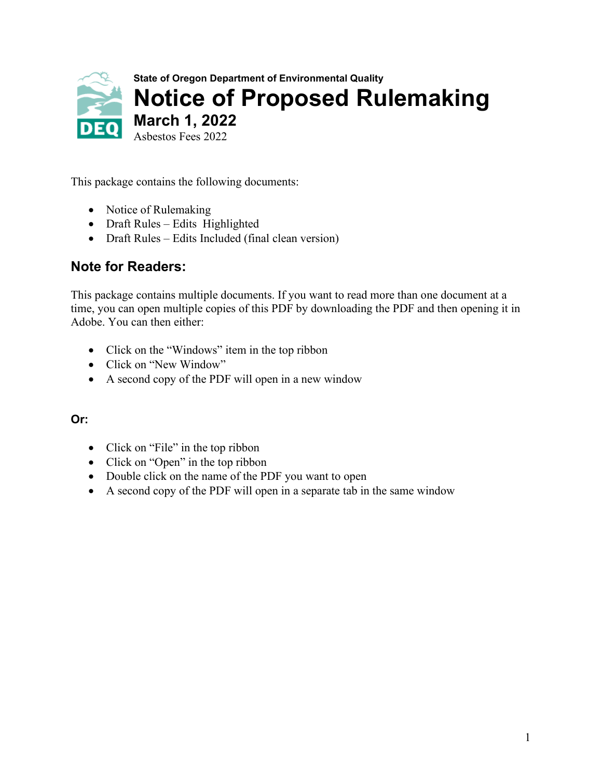

This package contains the following documents:

- Notice of Rulemaking
- Draft Rules Edits Highlighted
- Draft Rules Edits Included (final clean version)

### **Note for Readers:**

This package contains multiple documents. If you want to read more than one document at a time, you can open multiple copies of this PDF by downloading the PDF and then opening it in Adobe. You can then either:

- Click on the "Windows" item in the top ribbon
- Click on "New Window"
- A second copy of the PDF will open in a new window

### **Or:**

- Click on "File" in the top ribbon
- Click on "Open" in the top ribbon
- Double click on the name of the PDF you want to open
- A second copy of the PDF will open in a separate tab in the same window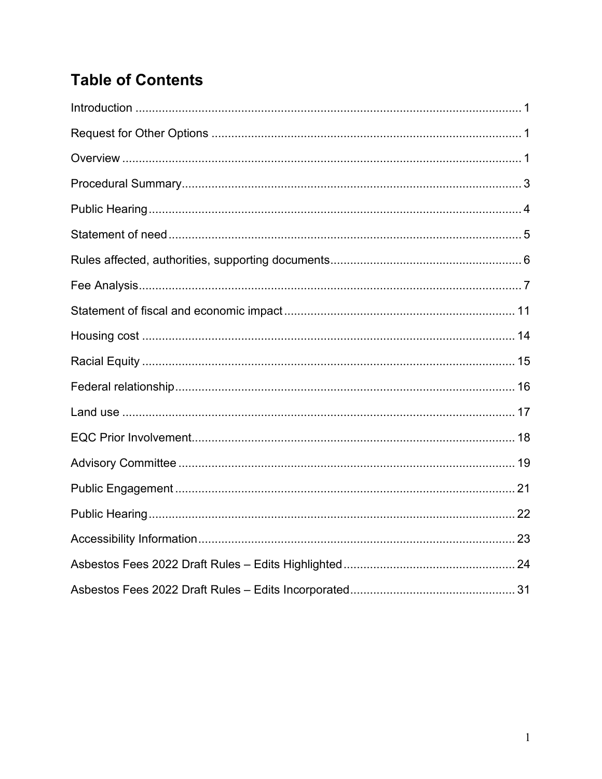## **Table of Contents**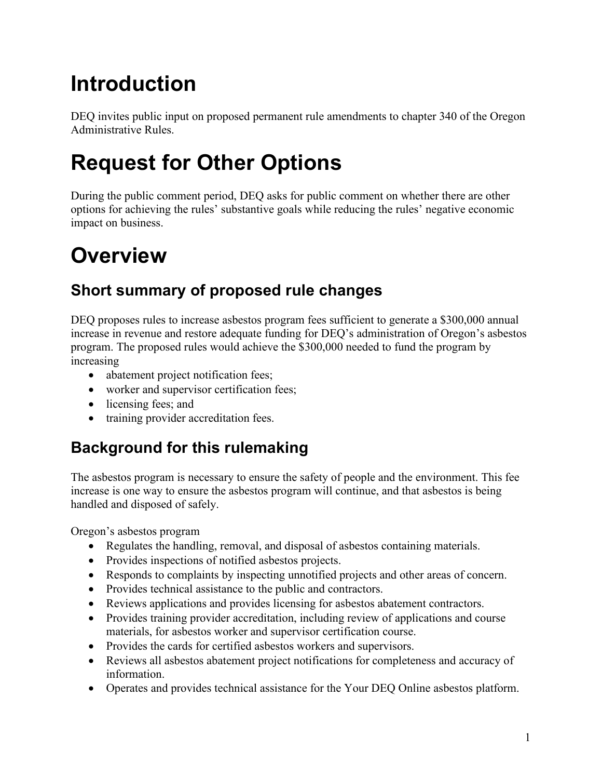# <span id="page-2-0"></span>**Introduction**

DEQ invites public input on proposed permanent rule amendments to chapter 340 of the Oregon Administrative Rules.

# <span id="page-2-1"></span>**Request for Other Options**

During the public comment period, DEQ asks for public comment on whether there are other options for achieving the rules' substantive goals while reducing the rules' negative economic impact on business.

# <span id="page-2-2"></span>**Overview**

## **Short summary of proposed rule changes**

DEQ proposes rules to increase asbestos program fees sufficient to generate a \$300,000 annual increase in revenue and restore adequate funding for DEQ's administration of Oregon's asbestos program. The proposed rules would achieve the \$300,000 needed to fund the program by increasing

- abatement project notification fees;
- worker and supervisor certification fees;
- licensing fees; and
- training provider accreditation fees.

## **Background for this rulemaking**

The asbestos program is necessary to ensure the safety of people and the environment. This fee increase is one way to ensure the asbestos program will continue, and that asbestos is being handled and disposed of safely.

Oregon's asbestos program

- Regulates the handling, removal, and disposal of asbestos containing materials.
- Provides inspections of notified asbestos projects.
- Responds to complaints by inspecting unnotified projects and other areas of concern.
- Provides technical assistance to the public and contractors.
- Reviews applications and provides licensing for asbestos abatement contractors.
- Provides training provider accreditation, including review of applications and course materials, for asbestos worker and supervisor certification course.
- Provides the cards for certified asbestos workers and supervisors.
- Reviews all asbestos abatement project notifications for completeness and accuracy of information.
- Operates and provides technical assistance for the Your DEQ Online asbestos platform.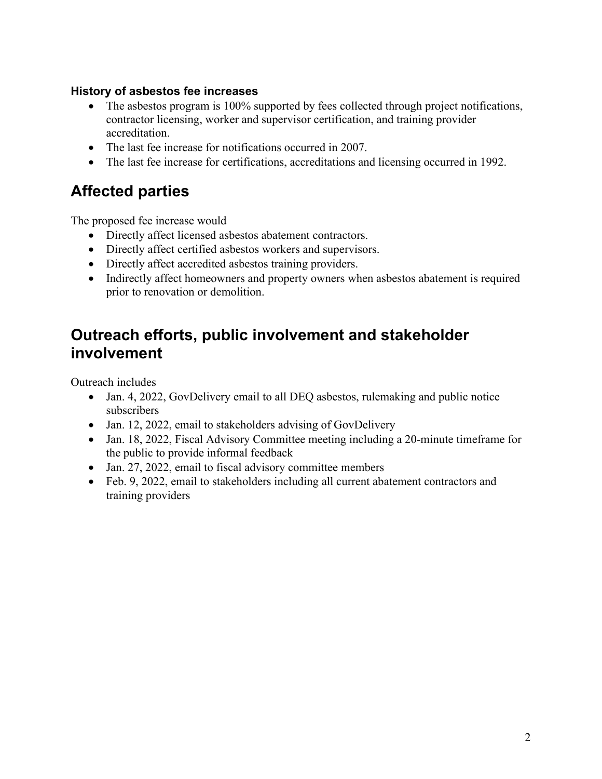#### **History of asbestos fee increases**

- The asbestos program is 100% supported by fees collected through project notifications, contractor licensing, worker and supervisor certification, and training provider accreditation.
- The last fee increase for notifications occurred in 2007.
- The last fee increase for certifications, accreditations and licensing occurred in 1992.

## **Affected parties**

The proposed fee increase would

- Directly affect licensed asbestos abatement contractors.
- Directly affect certified asbestos workers and supervisors.
- Directly affect accredited asbestos training providers.
- Indirectly affect homeowners and property owners when asbestos abatement is required prior to renovation or demolition.

## **Outreach efforts, public involvement and stakeholder involvement**

Outreach includes

- Jan. 4, 2022, GovDelivery email to all DEQ asbestos, rulemaking and public notice subscribers
- Jan. 12, 2022, email to stakeholders advising of GovDelivery
- Jan. 18, 2022, Fiscal Advisory Committee meeting including a 20-minute timeframe for the public to provide informal feedback
- Jan. 27, 2022, email to fiscal advisory committee members
- Feb. 9, 2022, email to stakeholders including all current abatement contractors and training providers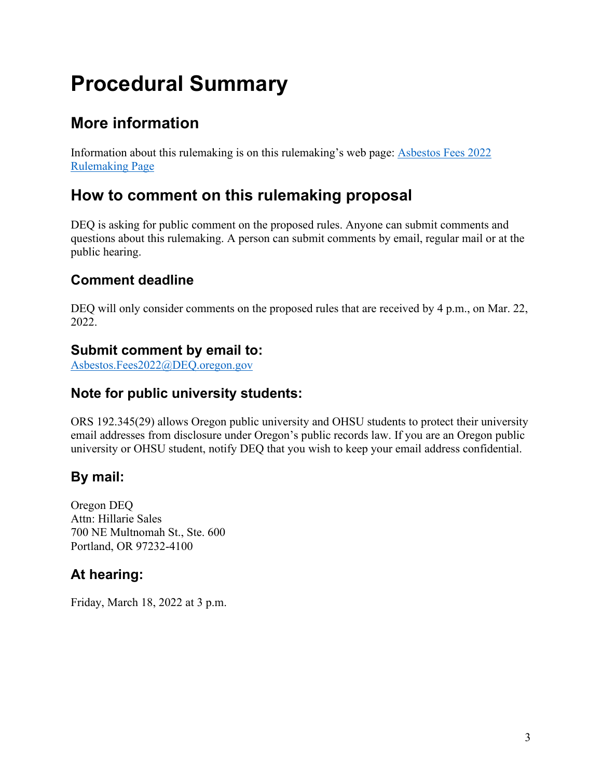# <span id="page-4-0"></span>**Procedural Summary**

## **More information**

Information about this rulemaking is on this rulemaking's web page: [Asbestos Fees 2022](https://www.oregon.gov/deq/rulemaking/Pages/asbestosfees2022.aspx)  [Rulemaking Page](https://www.oregon.gov/deq/rulemaking/Pages/asbestosfees2022.aspx)

## **How to comment on this rulemaking proposal**

DEQ is asking for public comment on the proposed rules. Anyone can submit comments and questions about this rulemaking. A person can submit comments by email, regular mail or at the public hearing.

### **Comment deadline**

DEQ will only consider comments on the proposed rules that are received by 4 p.m., on Mar. 22, 2022.

### **Submit comment by email to:**

[Asbestos.Fees2022@DEQ.oregon.gov](mailto:Asbestos.Fees2022@DEQ.oregon.gov)

### **Note for public university students:**

ORS 192.345(29) allows Oregon public university and OHSU students to protect their university email addresses from disclosure under Oregon's public records law. If you are an Oregon public university or OHSU student, notify DEQ that you wish to keep your email address confidential.

### **By mail:**

Oregon DEQ Attn: Hillarie Sales 700 NE Multnomah St., Ste. 600 Portland, OR 97232-4100

### **At hearing:**

Friday, March 18, 2022 at 3 p.m.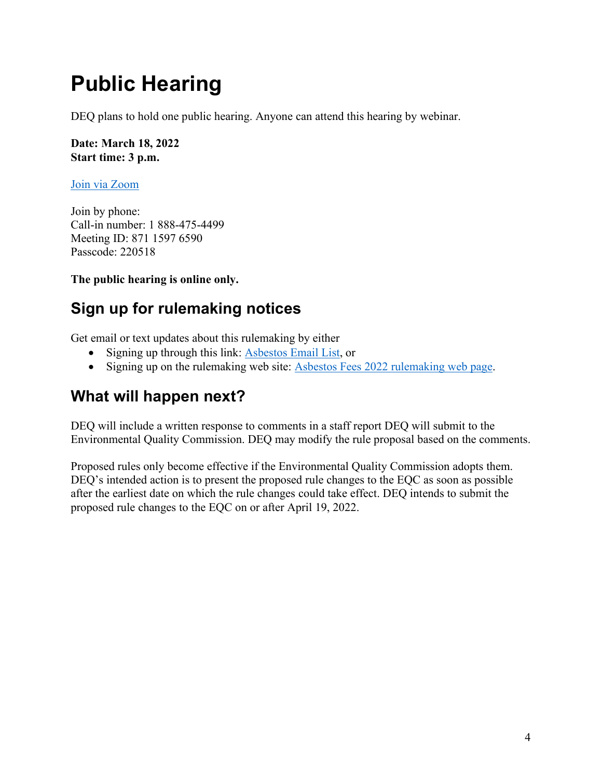# <span id="page-5-0"></span>**Public Hearing**

DEQ plans to hold one public hearing. Anyone can attend this hearing by webinar.

**Date: March 18, 2022 Start time: 3 p.m.**

[Join via Zoom](https://us02web.zoom.us/j/87115976590?pwd=MWVnRk9ic3plcE5pbVV6UTNVeHpOQT09)

Join by phone: Call-in number: 1 888-475-4499 Meeting ID: 871 1597 6590 Passcode: 220518

**The public hearing is online only.**

## **Sign up for rulemaking notices**

Get email or text updates about this rulemaking by either

- Signing up through this link: [Asbestos Email List,](https://public.govdelivery.com/accounts/ORDEQ/subscriber/new?topic_id=ORDEQ_254) or
- Signing up on the rulemaking web site: [Asbestos Fees 2022 rulemaking web page.](https://www.oregon.gov/deq/rulemaking/Pages/asbestosfees2022.aspx)

## **What will happen next?**

DEQ will include a written response to comments in a staff report DEQ will submit to the Environmental Quality Commission. DEQ may modify the rule proposal based on the comments.

Proposed rules only become effective if the Environmental Quality Commission adopts them. DEQ's intended action is to present the proposed rule changes to the EQC as soon as possible after the earliest date on which the rule changes could take effect. DEQ intends to submit the proposed rule changes to the EQC on or after April 19, 2022.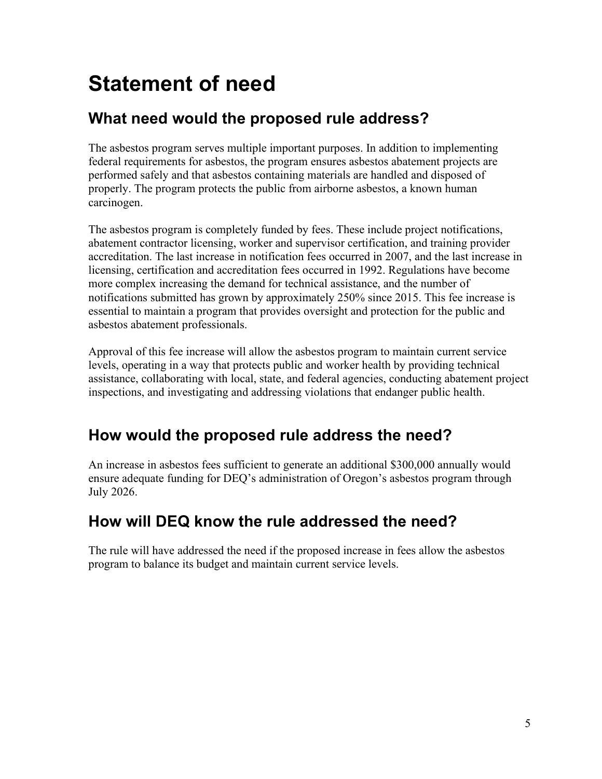# <span id="page-6-0"></span>**Statement of need**

## **What need would the proposed rule address?**

The asbestos program serves multiple important purposes. In addition to implementing federal requirements for asbestos, the program ensures asbestos abatement projects are performed safely and that asbestos containing materials are handled and disposed of properly. The program protects the public from airborne asbestos, a known human carcinogen.

The asbestos program is completely funded by fees. These include project notifications, abatement contractor licensing, worker and supervisor certification, and training provider accreditation. The last increase in notification fees occurred in 2007, and the last increase in licensing, certification and accreditation fees occurred in 1992. Regulations have become more complex increasing the demand for technical assistance, and the number of notifications submitted has grown by approximately 250% since 2015. This fee increase is essential to maintain a program that provides oversight and protection for the public and asbestos abatement professionals.

Approval of this fee increase will allow the asbestos program to maintain current service levels, operating in a way that protects public and worker health by providing technical assistance, collaborating with local, state, and federal agencies, conducting abatement project inspections, and investigating and addressing violations that endanger public health.

## **How would the proposed rule address the need?**

An increase in asbestos fees sufficient to generate an additional \$300,000 annually would ensure adequate funding for DEQ's administration of Oregon's asbestos program through July 2026.

## **How will DEQ know the rule addressed the need?**

The rule will have addressed the need if the proposed increase in fees allow the asbestos program to balance its budget and maintain current service levels.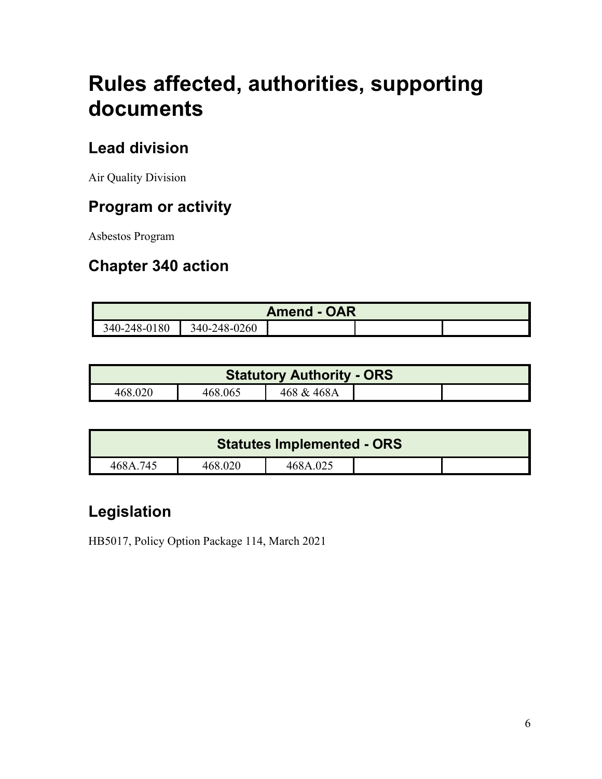# <span id="page-7-0"></span>**Rules affected, authorities, supporting documents**

## **Lead division**

Air Quality Division

## **Program or activity**

Asbestos Program

## **Chapter 340 action**

| <b>Amend - OAR</b> |              |  |  |  |
|--------------------|--------------|--|--|--|
| 340-248-0180       | 340-248-0260 |  |  |  |

|         |         | <b>Statutory Authority - ORS</b> |  |
|---------|---------|----------------------------------|--|
| 468.020 | 468.065 | 468 & 468A                       |  |

| <b>Statutes Implemented - ORS</b> |         |          |  |  |
|-----------------------------------|---------|----------|--|--|
| 468A.745                          | 468.020 | 468A.025 |  |  |

## **Legislation**

HB5017, Policy Option Package 114, March 2021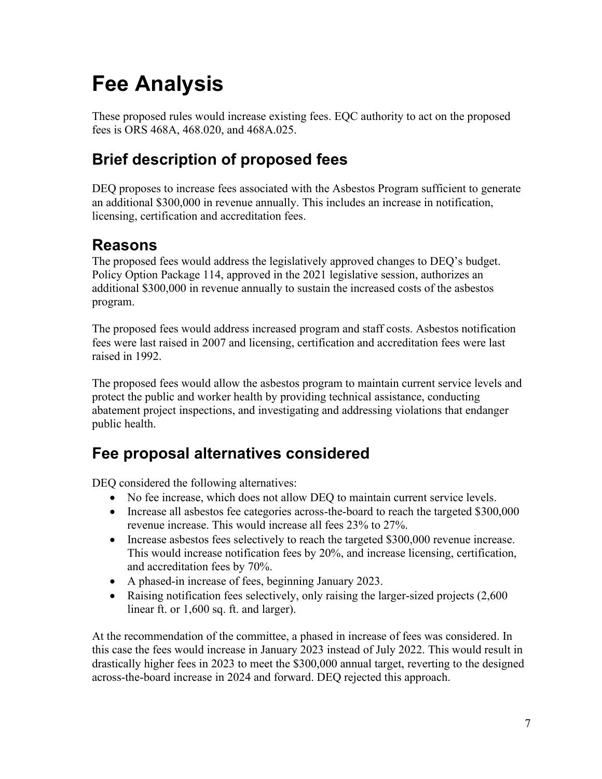# <span id="page-8-0"></span>**Fee Analysis**

These proposed rules would increase existing fees. EQC authority to act on the proposed fees is ORS 468A, 468.020, and 468A.025.

## **Brief description of proposed fees**

DEQ proposes to increase fees associated with the Asbestos Program sufficient to generate an additional \$300,000 in revenue annually. This includes an increase in notification, licensing, certification and accreditation fees.

## **Reasons**

The proposed fees would address the legislatively approved changes to DEQ's budget. Policy Option Package 114, approved in the 2021 legislative session, authorizes an additional \$300,000 in revenue annually to sustain the increased costs of the asbestos program.

The proposed fees would address increased program and staff costs. Asbestos notification fees were last raised in 2007 and licensing, certification and accreditation fees were last raised in 1992.

The proposed fees would allow the asbestos program to maintain current service levels and protect the public and worker health by providing technical assistance, conducting abatement project inspections, and investigating and addressing violations that endanger public health.

## **Fee proposal alternatives considered**

DEQ considered the following alternatives:

- No fee increase, which does not allow DEQ to maintain current service levels.
- Increase all asbestos fee categories across-the-board to reach the targeted \$300,000 revenue increase. This would increase all fees 23% to 27%.
- Increase asbestos fees selectively to reach the targeted \$300,000 revenue increase. This would increase notification fees by 20%, and increase licensing, certification, and accreditation fees by 70%.
- A phased-in increase of fees, beginning January 2023.
- Raising notification fees selectively, only raising the larger-sized projects (2,600) linear ft. or 1,600 sq. ft. and larger).

At the recommendation of the committee, a phased in increase of fees was considered. In this case the fees would increase in January 2023 instead of July 2022. This would result in drastically higher fees in 2023 to meet the \$300,000 annual target, reverting to the designed across-the-board increase in 2024 and forward. DEQ rejected this approach.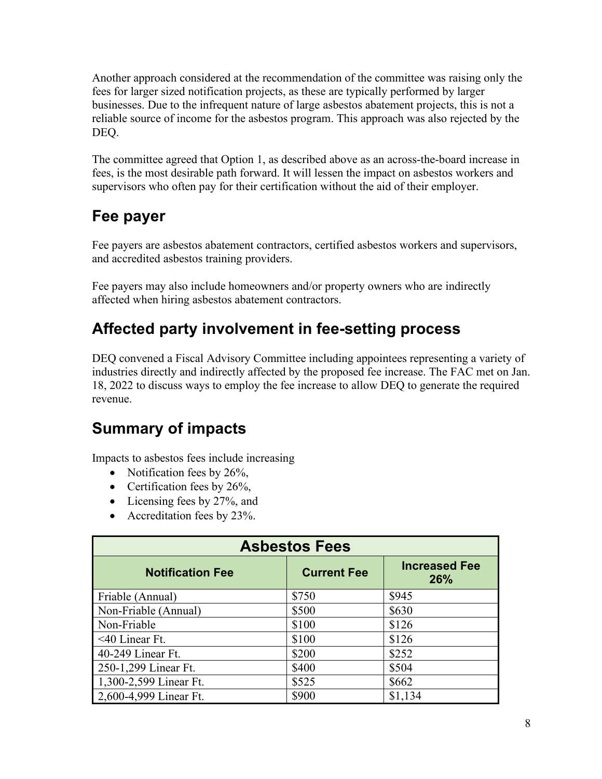Another approach considered at the recommendation of the committee was raising only the fees for larger sized notification projects, as these are typically performed by larger businesses. Due to the infrequent nature of large asbestos abatement projects, this is not a reliable source of income for the asbestos program. This approach was also rejected by the DEQ.

The committee agreed that Option 1, as described above as an across-the-board increase in fees, is the most desirable path forward. It will lessen the impact on asbestos workers and supervisors who often pay for their certification without the aid of their employer.

## **Fee payer**

Fee payers are asbestos abatement contractors, certified asbestos workers and supervisors, and accredited asbestos training providers.

Fee payers may also include homeowners and/or property owners who are indirectly affected when hiring asbestos abatement contractors.

## **Affected party involvement in fee-setting process**

DEQ convened a Fiscal Advisory Committee including appointees representing a variety of industries directly and indirectly affected by the proposed fee increase. The FAC met on Jan. 18, 2022 to discuss ways to employ the fee increase to allow DEQ to generate the required revenue.

## **Summary of impacts**

Impacts to asbestos fees include increasing

- Notification fees by 26%,
- Certification fees by 26%,
- Licensing fees by 27%, and
- Accreditation fees by 23%.

| <b>Asbestos Fees</b>    |                    |                                    |  |
|-------------------------|--------------------|------------------------------------|--|
| <b>Notification Fee</b> | <b>Current Fee</b> | <b>Increased Fee</b><br><b>26%</b> |  |
| Friable (Annual)        | \$750              | \$945                              |  |
| Non-Friable (Annual)    | \$500              | \$630                              |  |
| Non-Friable             | \$100              | \$126                              |  |
| $<$ 40 Linear Ft.       | \$100              | \$126                              |  |
| 40-249 Linear Ft.       | \$200              | \$252                              |  |
| 250-1,299 Linear Ft.    | \$400              | \$504                              |  |
| 1,300-2,599 Linear Ft.  | \$525              | \$662                              |  |
| 2,600-4,999 Linear Ft.  | \$900              | \$1,134                            |  |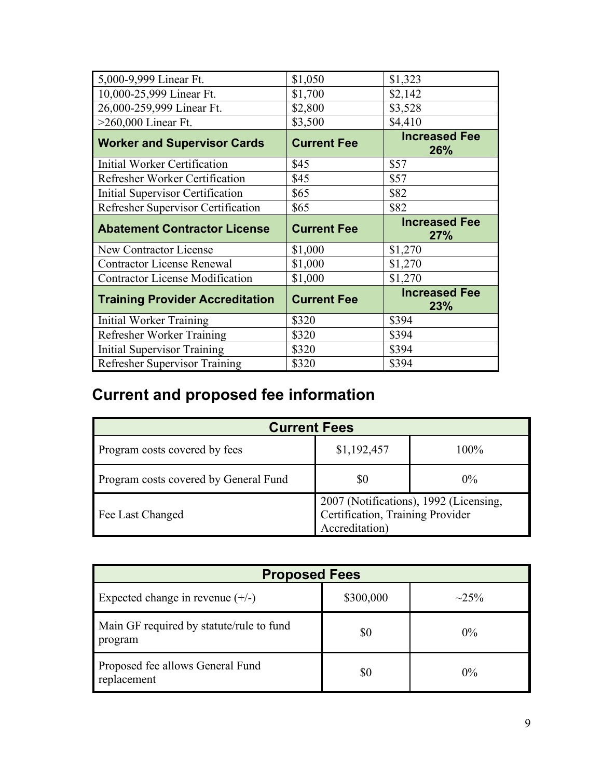| 5,000-9,999 Linear Ft.                 | \$1,050            | \$1,323                     |
|----------------------------------------|--------------------|-----------------------------|
| 10,000-25,999 Linear Ft.               | \$1,700            | \$2,142                     |
| 26,000-259,999 Linear Ft.              | \$2,800            | \$3,528                     |
| $>260,000$ Linear Ft.                  | \$3,500            | \$4,410                     |
| <b>Worker and Supervisor Cards</b>     | <b>Current Fee</b> | <b>Increased Fee</b><br>26% |
| Initial Worker Certification           | \$45               | \$57                        |
| Refresher Worker Certification         | \$45               | \$57                        |
| Initial Supervisor Certification       | \$65               | \$82                        |
| Refresher Supervisor Certification     | \$65               | \$82                        |
|                                        |                    | <b>Increased Fee</b>        |
| <b>Abatement Contractor License</b>    | <b>Current Fee</b> | 27%                         |
| New Contractor License                 | \$1,000            | \$1,270                     |
| <b>Contractor License Renewal</b>      | \$1,000            | \$1,270                     |
| <b>Contractor License Modification</b> | \$1,000            | \$1,270                     |
| <b>Training Provider Accreditation</b> | <b>Current Fee</b> | <b>Increased Fee</b><br>23% |
| Initial Worker Training                | \$320              | \$394                       |
| Refresher Worker Training              | \$320              | \$394                       |
| <b>Initial Supervisor Training</b>     | \$320              | \$394                       |

## **Current and proposed fee information**

| <b>Current Fees</b>                   |                                                                                              |       |  |
|---------------------------------------|----------------------------------------------------------------------------------------------|-------|--|
| Program costs covered by fees         | \$1,192,457                                                                                  | 100%  |  |
| Program costs covered by General Fund | \$0                                                                                          | $0\%$ |  |
| Fee Last Changed                      | 2007 (Notifications), 1992 (Licensing,<br>Certification, Training Provider<br>Accreditation) |       |  |

| <b>Proposed Fees</b>                                |           |            |  |
|-----------------------------------------------------|-----------|------------|--|
| Expected change in revenue $(+/-)$                  | \$300,000 | $\sim$ 25% |  |
| Main GF required by statute/rule to fund<br>program | \$0       | $0\%$      |  |
| Proposed fee allows General Fund<br>replacement     | \$0       | $0\%$      |  |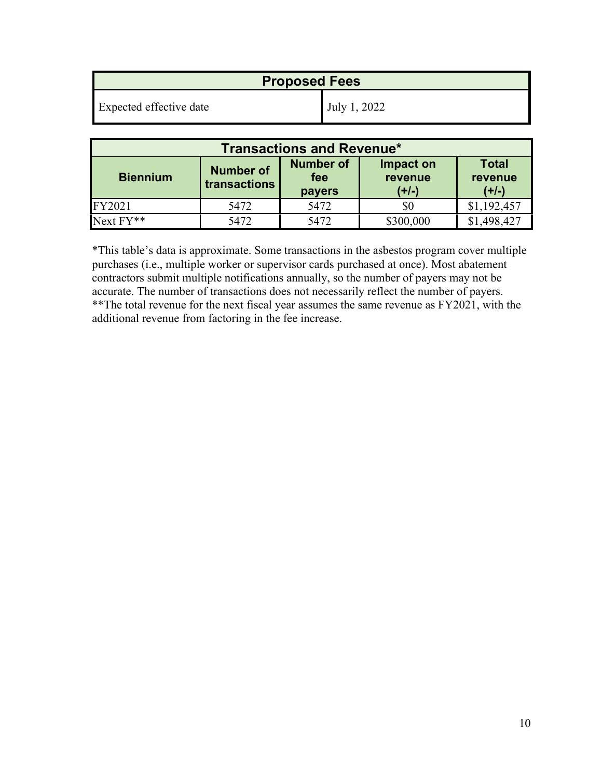| <b>Proposed Fees</b>    |              |  |
|-------------------------|--------------|--|
| Expected effective date | July 1, 2022 |  |

| <b>Transactions and Revenue*</b> |                                  |                                          |                                 |                                    |
|----------------------------------|----------------------------------|------------------------------------------|---------------------------------|------------------------------------|
| <b>Biennium</b>                  | <b>Number of</b><br>transactions | <b>Number of</b><br>fee<br><b>payers</b> | Impact on<br>revenue<br>$(+/-)$ | <b>Total</b><br>revenue<br>$(+/-)$ |
| FY2021                           | 5472                             | 5472                                     | \$0                             | \$1,192,457                        |
| $Next FY**$                      | 5472                             | 5472                                     | \$300,000                       | .498.427                           |

\*This table's data is approximate. Some transactions in the asbestos program cover multiple purchases (i.e., multiple worker or supervisor cards purchased at once). Most abatement contractors submit multiple notifications annually, so the number of payers may not be accurate. The number of transactions does not necessarily reflect the number of payers. \*\*The total revenue for the next fiscal year assumes the same revenue as FY2021, with the additional revenue from factoring in the fee increase.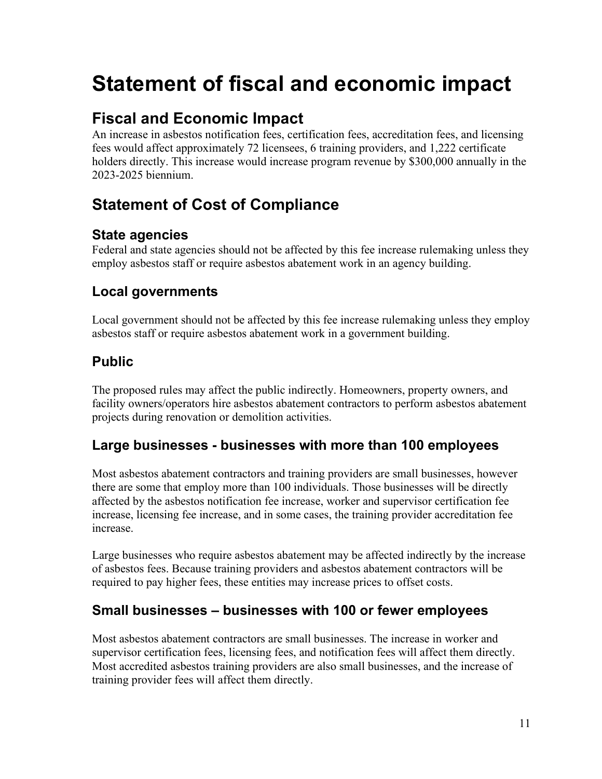# <span id="page-12-0"></span>**Statement of fiscal and economic impact**

## **Fiscal and Economic Impact**

An increase in asbestos notification fees, certification fees, accreditation fees, and licensing fees would affect approximately 72 licensees, 6 training providers, and 1,222 certificate holders directly. This increase would increase program revenue by \$300,000 annually in the 2023-2025 biennium.

## **Statement of Cost of Compliance**

### **State agencies**

Federal and state agencies should not be affected by this fee increase rulemaking unless they employ asbestos staff or require asbestos abatement work in an agency building.

### **Local governments**

Local government should not be affected by this fee increase rulemaking unless they employ asbestos staff or require asbestos abatement work in a government building.

### **Public**

The proposed rules may affect the public indirectly. Homeowners, property owners, and facility owners/operators hire asbestos abatement contractors to perform asbestos abatement projects during renovation or demolition activities.

### **Large businesses - businesses with more than 100 employees**

Most asbestos abatement contractors and training providers are small businesses, however there are some that employ more than 100 individuals. Those businesses will be directly affected by the asbestos notification fee increase, worker and supervisor certification fee increase, licensing fee increase, and in some cases, the training provider accreditation fee increase.

Large businesses who require asbestos abatement may be affected indirectly by the increase of asbestos fees. Because training providers and asbestos abatement contractors will be required to pay higher fees, these entities may increase prices to offset costs.

### **Small businesses – businesses with 100 or fewer employees**

Most asbestos abatement contractors are small businesses. The increase in worker and supervisor certification fees, licensing fees, and notification fees will affect them directly. Most accredited asbestos training providers are also small businesses, and the increase of training provider fees will affect them directly.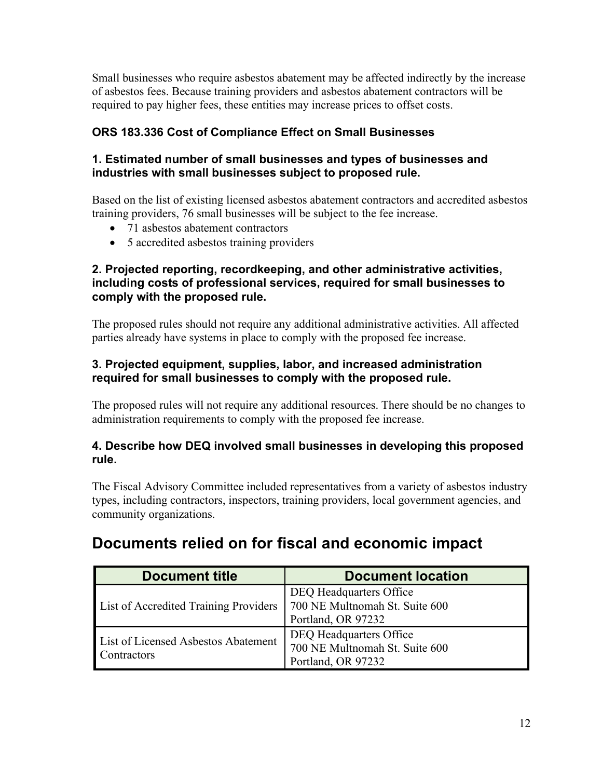Small businesses who require asbestos abatement may be affected indirectly by the increase of asbestos fees. Because training providers and asbestos abatement contractors will be required to pay higher fees, these entities may increase prices to offset costs.

### **ORS 183.336 Cost of Compliance Effect on Small Businesses**

#### **1. Estimated number of small businesses and types of businesses and industries with small businesses subject to proposed rule.**

Based on the list of existing licensed asbestos abatement contractors and accredited asbestos training providers, 76 small businesses will be subject to the fee increase.

- 71 asbestos abatement contractors
- 5 accredited asbestos training providers

#### **2. Projected reporting, recordkeeping, and other administrative activities, including costs of professional services, required for small businesses to comply with the proposed rule.**

The proposed rules should not require any additional administrative activities. All affected parties already have systems in place to comply with the proposed fee increase.

#### **3. Projected equipment, supplies, labor, and increased administration required for small businesses to comply with the proposed rule.**

The proposed rules will not require any additional resources. There should be no changes to administration requirements to comply with the proposed fee increase.

#### **4. Describe how DEQ involved small businesses in developing this proposed rule.**

The Fiscal Advisory Committee included representatives from a variety of asbestos industry types, including contractors, inspectors, training providers, local government agencies, and community organizations.

| <b>Document title</b>                              | <b>Document location</b>                                                        |
|----------------------------------------------------|---------------------------------------------------------------------------------|
| List of Accredited Training Providers              | DEQ Headquarters Office<br>700 NE Multnomah St. Suite 600<br>Portland, OR 97232 |
| List of Licensed Asbestos Abatement<br>Contractors | DEQ Headquarters Office<br>700 NE Multnomah St. Suite 600<br>Portland, OR 97232 |

## **Documents relied on for fiscal and economic impact**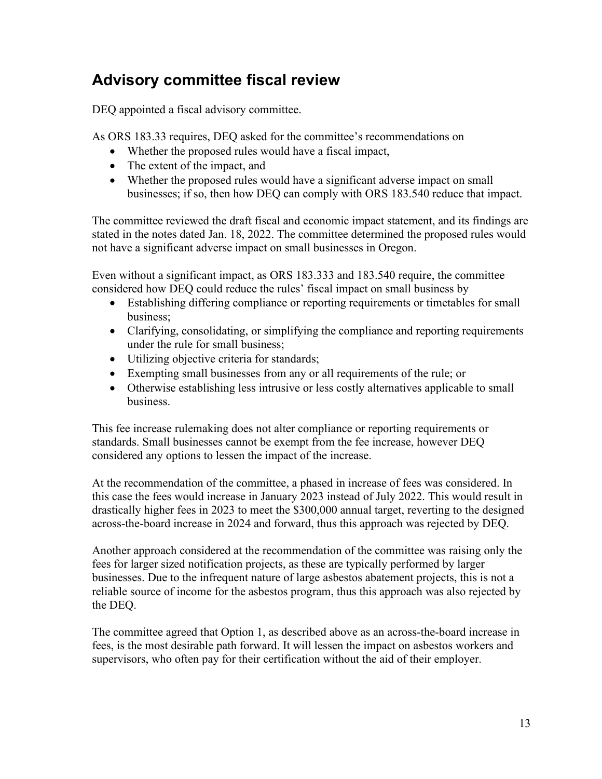## **Advisory committee fiscal review**

DEQ appointed a fiscal advisory committee.

As ORS 183.33 requires, DEQ asked for the committee's recommendations on

- Whether the proposed rules would have a fiscal impact,
- The extent of the impact, and
- Whether the proposed rules would have a significant adverse impact on small businesses; if so, then how DEQ can comply with ORS 183.540 reduce that impact.

The committee reviewed the draft fiscal and economic impact statement, and its findings are stated in the notes dated Jan. 18, 2022. The committee determined the proposed rules would not have a significant adverse impact on small businesses in Oregon.

Even without a significant impact, as ORS 183.333 and 183.540 require, the committee considered how DEQ could reduce the rules' fiscal impact on small business by

- Establishing differing compliance or reporting requirements or timetables for small business;
- Clarifying, consolidating, or simplifying the compliance and reporting requirements under the rule for small business;
- Utilizing objective criteria for standards;
- Exempting small businesses from any or all requirements of the rule; or
- Otherwise establishing less intrusive or less costly alternatives applicable to small business.

This fee increase rulemaking does not alter compliance or reporting requirements or standards. Small businesses cannot be exempt from the fee increase, however DEQ considered any options to lessen the impact of the increase.

At the recommendation of the committee, a phased in increase of fees was considered. In this case the fees would increase in January 2023 instead of July 2022. This would result in drastically higher fees in 2023 to meet the \$300,000 annual target, reverting to the designed across-the-board increase in 2024 and forward, thus this approach was rejected by DEQ.

Another approach considered at the recommendation of the committee was raising only the fees for larger sized notification projects, as these are typically performed by larger businesses. Due to the infrequent nature of large asbestos abatement projects, this is not a reliable source of income for the asbestos program, thus this approach was also rejected by the DEQ.

The committee agreed that Option 1, as described above as an across-the-board increase in fees, is the most desirable path forward. It will lessen the impact on asbestos workers and supervisors, who often pay for their certification without the aid of their employer.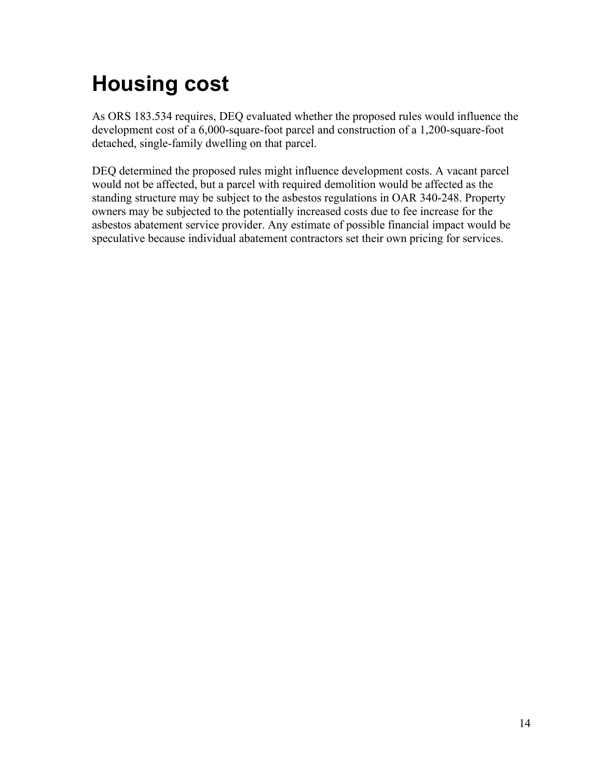# <span id="page-15-0"></span>**Housing cost**

As ORS 183.534 requires, DEQ evaluated whether the proposed rules would influence the development cost of a 6,000-square-foot parcel and construction of a 1,200-square-foot detached, single-family dwelling on that parcel.

DEQ determined the proposed rules might influence development costs. A vacant parcel would not be affected, but a parcel with required demolition would be affected as the standing structure may be subject to the asbestos regulations in OAR 340-248. Property owners may be subjected to the potentially increased costs due to fee increase for the asbestos abatement service provider. Any estimate of possible financial impact would be speculative because individual abatement contractors set their own pricing for services.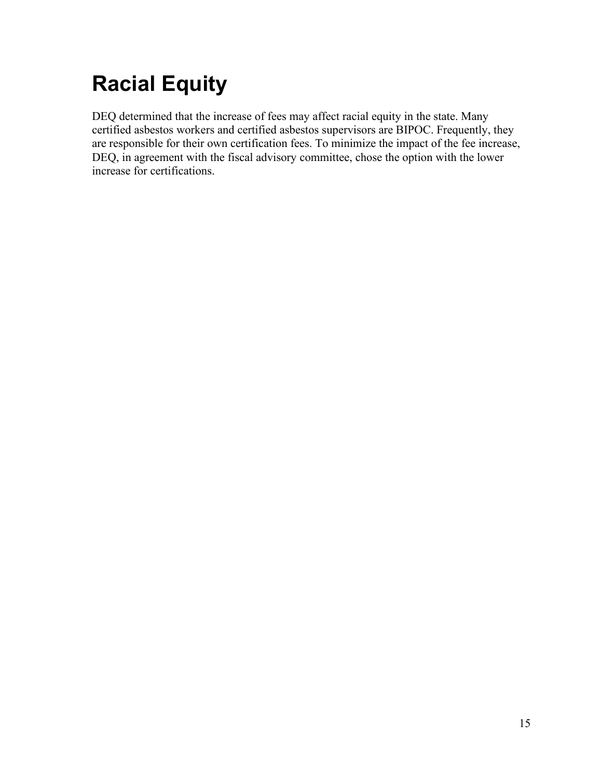# <span id="page-16-0"></span>**Racial Equity**

DEQ determined that the increase of fees may affect racial equity in the state. Many certified asbestos workers and certified asbestos supervisors are BIPOC. Frequently, they are responsible for their own certification fees. To minimize the impact of the fee increase, DEQ, in agreement with the fiscal advisory committee, chose the option with the lower increase for certifications.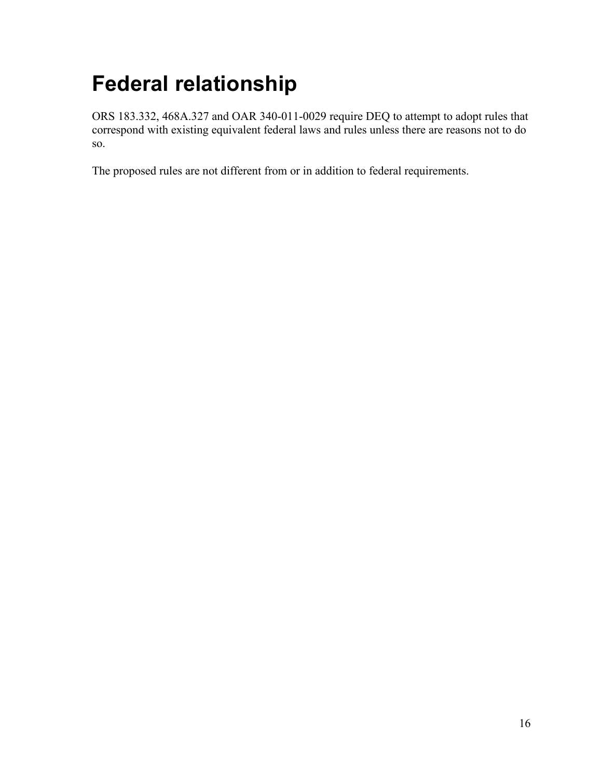# <span id="page-17-0"></span>**Federal relationship**

ORS 183.332, 468A.327 and OAR 340-011-0029 require DEQ to attempt to adopt rules that correspond with existing equivalent federal laws and rules unless there are reasons not to do so.

The proposed rules are not different from or in addition to federal requirements.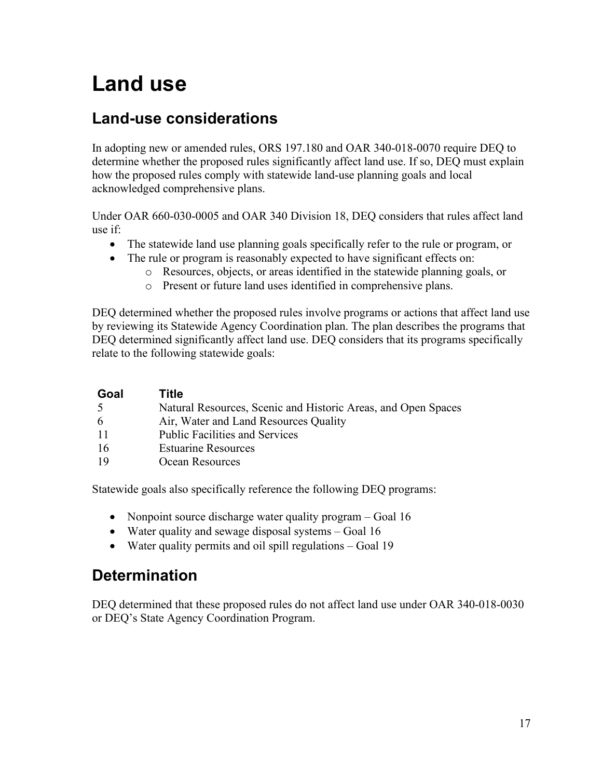# <span id="page-18-0"></span>**Land use**

## **Land-use considerations**

In adopting new or amended rules, ORS 197.180 and OAR 340-018-0070 require DEQ to determine whether the proposed rules significantly affect land use. If so, DEQ must explain how the proposed rules comply with statewide land-use planning goals and local acknowledged comprehensive plans.

Under OAR 660-030-0005 and OAR 340 Division 18, DEQ considers that rules affect land use if:

- The statewide land use planning goals specifically refer to the rule or program, or
- The rule or program is reasonably expected to have significant effects on:
	- o Resources, objects, or areas identified in the statewide planning goals, or
	- o Present or future land uses identified in comprehensive plans.

DEQ determined whether the proposed rules involve programs or actions that affect land use by reviewing its Statewide Agency Coordination plan. The plan describes the programs that DEQ determined significantly affect land use. DEQ considers that its programs specifically relate to the following statewide goals:

| Goal | Title                                                         |
|------|---------------------------------------------------------------|
| -5   | Natural Resources, Scenic and Historic Areas, and Open Spaces |
| -6   | Air, Water and Land Resources Quality                         |
| -11  | <b>Public Facilities and Services</b>                         |
| -16  | <b>Estuarine Resources</b>                                    |
| 19   | Ocean Resources                                               |

Statewide goals also specifically reference the following DEQ programs:

- Nonpoint source discharge water quality program Goal 16
- Water quality and sewage disposal systems Goal 16
- Water quality permits and oil spill regulations Goal 19

## **Determination**

DEQ determined that these proposed rules do not affect land use under OAR 340-018-0030 or DEQ's State Agency Coordination Program.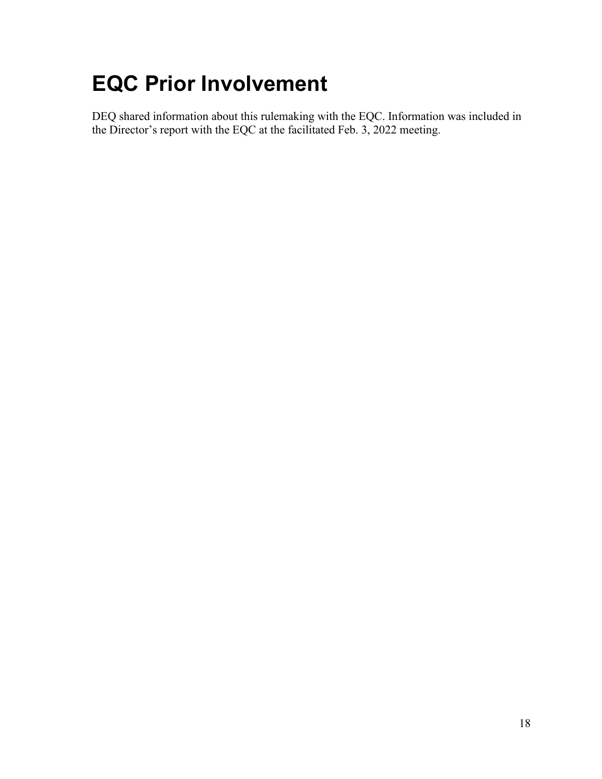# <span id="page-19-0"></span>**EQC Prior Involvement**

DEQ shared information about this rulemaking with the EQC. Information was included in the Director's report with the EQC at the facilitated Feb. 3, 2022 meeting.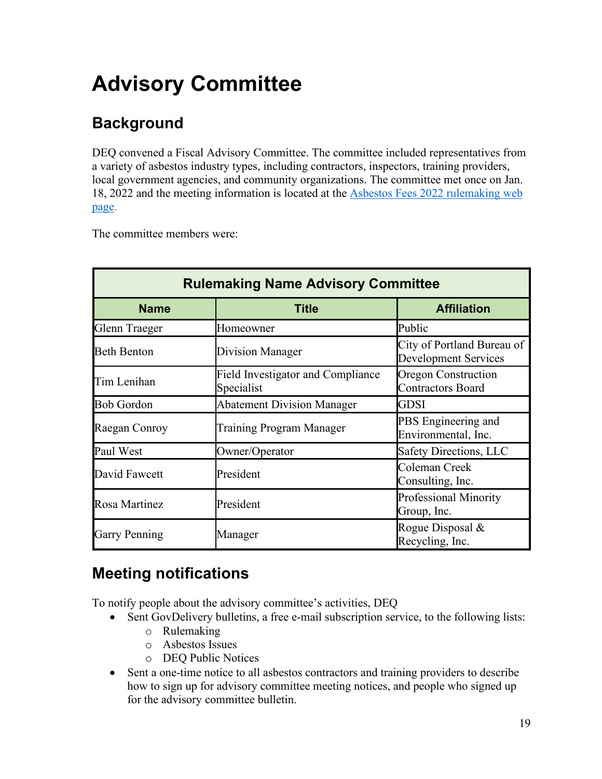# <span id="page-20-0"></span>**Advisory Committee**

## **Background**

DEQ convened a Fiscal Advisory Committee. The committee included representatives from a variety of asbestos industry types, including contractors, inspectors, training providers, local government agencies, and community organizations. The committee met once on Jan. 18, 2022 and the meeting information is located at the [Asbestos Fees 2022 rulemaking web](https://www.oregon.gov/deq/rulemaking/Pages/asbestosfees2022.aspx)  [page.](https://www.oregon.gov/deq/rulemaking/Pages/asbestosfees2022.aspx)

The committee members were:

| <b>Rulemaking Name Advisory Committee</b> |                                                        |                                                           |
|-------------------------------------------|--------------------------------------------------------|-----------------------------------------------------------|
| <b>Name</b>                               | <b>Title</b>                                           | <b>Affiliation</b>                                        |
| Glenn Traeger                             | Homeowner                                              | Public                                                    |
| <b>Beth Benton</b>                        | Division Manager                                       | City of Portland Bureau of<br><b>Development Services</b> |
| Tim Lenihan                               | <b>Field Investigator and Compliance</b><br>Specialist | Oregon Construction<br><b>Contractors Board</b>           |
| <b>Bob Gordon</b>                         | <b>Abatement Division Manager</b>                      | <b>GDSI</b>                                               |
| Raegan Conroy                             | Training Program Manager                               | PBS Engineering and<br>Environmental, Inc.                |
| Paul West                                 | Owner/Operator                                         | <b>Safety Directions, LLC</b>                             |
| David Fawcett                             | President                                              | Coleman Creek<br>Consulting, Inc.                         |
| Rosa Martinez                             | President                                              | <b>Professional Minority</b><br>Group, Inc.               |
| <b>Garry Penning</b>                      | Manager                                                | Rogue Disposal $\&$<br>Recycling, Inc.                    |

## **Meeting notifications**

To notify people about the advisory committee's activities, DEQ

- Sent GovDelivery bulletins, a free e-mail subscription service, to the following lists:
	- o Rulemaking
	- o Asbestos Issues
	- o DEQ Public Notices
- Sent a one-time notice to all asbestos contractors and training providers to describe how to sign up for advisory committee meeting notices, and people who signed up for the advisory committee bulletin.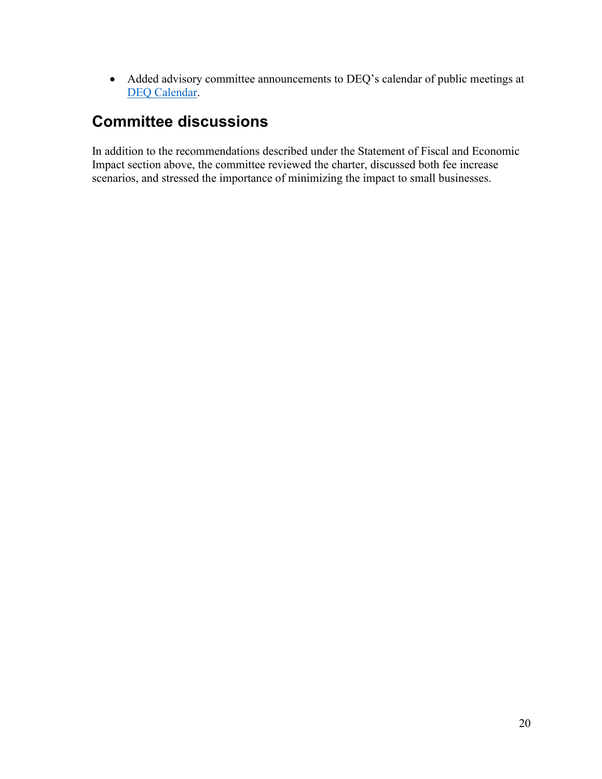• Added advisory committee announcements to DEQ's calendar of public meetings at [DEQ Calendar.](http://www.oregon.gov/deq/Get-Involved/Pages/Calendar.aspx)

## **Committee discussions**

In addition to the recommendations described under the Statement of Fiscal and Economic Impact section above, the committee reviewed the charter, discussed both fee increase scenarios, and stressed the importance of minimizing the impact to small businesses.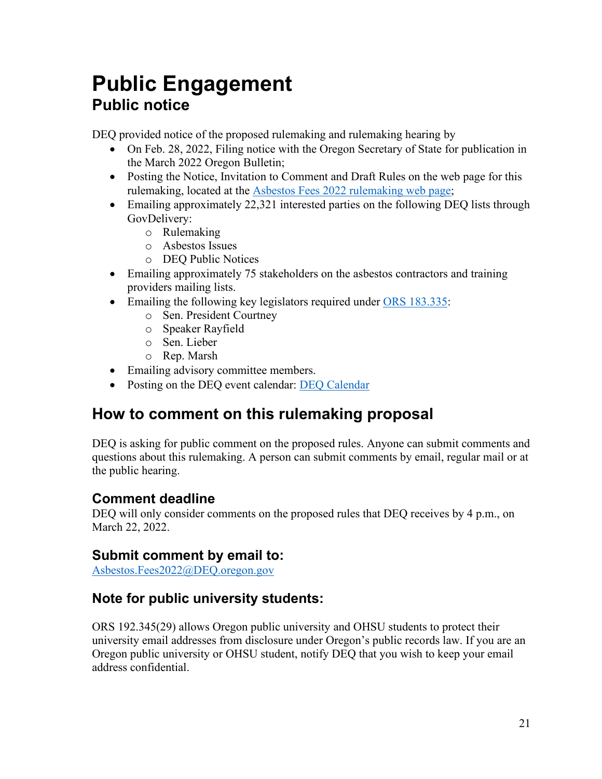## <span id="page-22-0"></span>**Public Engagement Public notice**

DEQ provided notice of the proposed rulemaking and rulemaking hearing by

- On Feb. 28, 2022, Filing notice with the Oregon Secretary of State for publication in the March 2022 Oregon Bulletin;
- Posting the Notice, Invitation to Comment and Draft Rules on the web page for this rulemaking, located at the [Asbestos Fees 2022 rulemaking web page;](https://www.oregon.gov/deq/rulemaking/Pages/asbestosfees2022.aspx)
- Emailing approximately 22,321 interested parties on the following DEQ lists through GovDelivery:
	- o Rulemaking
	- o Asbestos Issues
	- o DEQ Public Notices
- Emailing approximately 75 stakeholders on the asbestos contractors and training providers mailing lists.
- Emailing the following key legislators required under [ORS 183.335:](http://www.leg.state.or.us/ors/183.html)
	- o Sen. President Courtney
	- o Speaker Rayfield
	- o Sen. Lieber
	- o Rep. Marsh
- Emailing advisory committee members.
- Posting on the DEQ event calendar: [DEQ Calendar](http://www.oregon.gov/deq/Get-Involved/Pages/Calendar.aspx)

## **How to comment on this rulemaking proposal**

DEQ is asking for public comment on the proposed rules. Anyone can submit comments and questions about this rulemaking. A person can submit comments by email, regular mail or at the public hearing.

### **Comment deadline**

DEQ will only consider comments on the proposed rules that DEQ receives by 4 p.m., on March 22, 2022.

### **Submit comment by email to:**

[Asbestos.Fees2022@DEQ.oregon.gov](mailto:Asbestos.Fees2022@DEQ.oregon.gov)

### **Note for public university students:**

ORS 192.345(29) allows Oregon public university and OHSU students to protect their university email addresses from disclosure under Oregon's public records law. If you are an Oregon public university or OHSU student, notify DEQ that you wish to keep your email address confidential.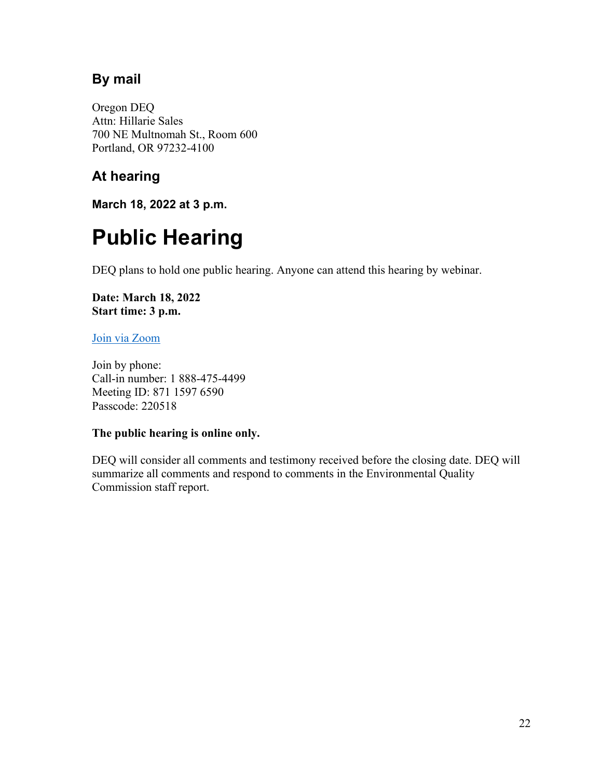### **By mail**

Oregon DEQ Attn: Hillarie Sales 700 NE Multnomah St., Room 600 Portland, OR 97232-4100

### **At hearing**

**March 18, 2022 at 3 p.m.**

# <span id="page-23-0"></span>**Public Hearing**

DEQ plans to hold one public hearing. Anyone can attend this hearing by webinar.

**Date: March 18, 2022 Start time: 3 p.m.**

#### [Join via Zoom](https://us02web.zoom.us/j/87115976590?pwd=MWVnRk9ic3plcE5pbVV6UTNVeHpOQT09)

Join by phone: Call-in number: 1 888-475-4499 Meeting ID: 871 1597 6590 Passcode: 220518

#### **The public hearing is online only.**

DEQ will consider all comments and testimony received before the closing date. DEQ will summarize all comments and respond to comments in the Environmental Quality Commission staff report.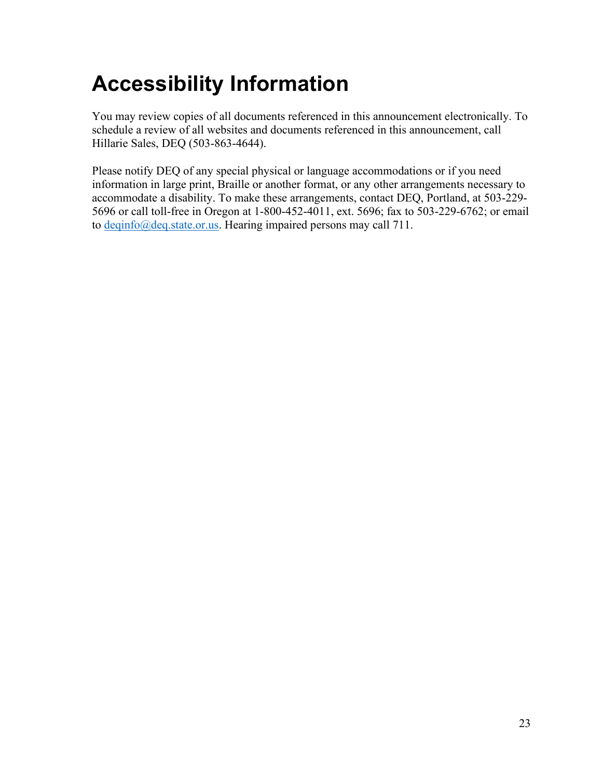# <span id="page-24-0"></span>**Accessibility Information**

You may review copies of all documents referenced in this announcement electronically. To schedule a review of all websites and documents referenced in this announcement, call Hillarie Sales, DEQ (503-863-4644).

Please notify DEQ of any special physical or language accommodations or if you need information in large print, Braille or another format, or any other arrangements necessary to accommodate a disability. To make these arrangements, contact DEQ, Portland, at 503-229- 5696 or call toll-free in Oregon at 1-800-452-4011, ext. 5696; fax to 503-229-6762; or email to [deqinfo@deq.state.or.us.](mailto:deqinfo@deq.state.or.us) Hearing impaired persons may call 711.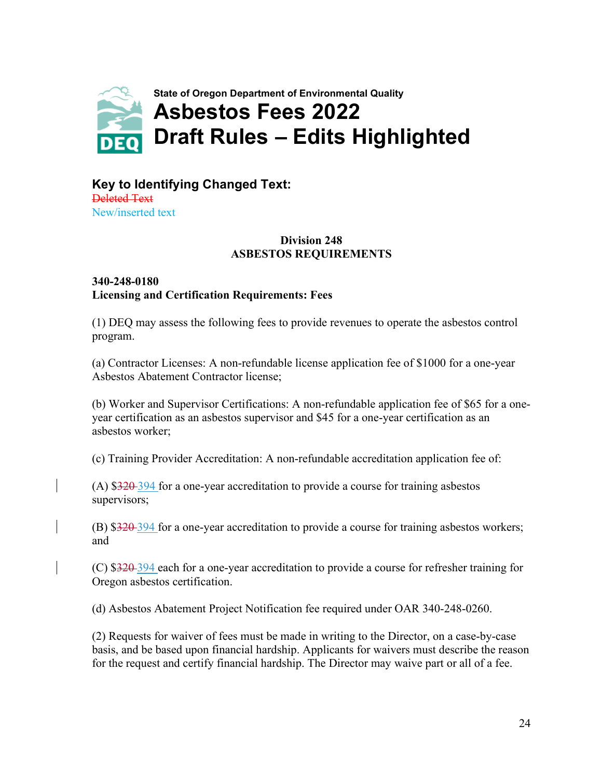<span id="page-25-0"></span>

#### **Key to Identifying Changed Text:** Deleted Text New/inserted text

#### **Division 248 ASBESTOS REQUIREMENTS**

#### **340-248-0180 Licensing and Certification Requirements: Fees**

(1) DEQ may assess the following fees to provide revenues to operate the asbestos control program.

(a) Contractor Licenses: A non-refundable license application fee of \$1000 for a one-year Asbestos Abatement Contractor license;

(b) Worker and Supervisor Certifications: A non-refundable application fee of \$65 for a oneyear certification as an asbestos supervisor and \$45 for a one-year certification as an asbestos worker;

(c) Training Provider Accreditation: A non-refundable accreditation application fee of:

(A)  $$320-394$  for a one-year accreditation to provide a course for training asbestos supervisors;

(B)  $$320-394$  for a one-year accreditation to provide a course for training asbestos workers; and

(C) \$320 394 each for a one-year accreditation to provide a course for refresher training for Oregon asbestos certification.

(d) Asbestos Abatement Project Notification fee required under OAR 340-248-0260.

(2) Requests for waiver of fees must be made in writing to the Director, on a case-by-case basis, and be based upon financial hardship. Applicants for waivers must describe the reason for the request and certify financial hardship. The Director may waive part or all of a fee.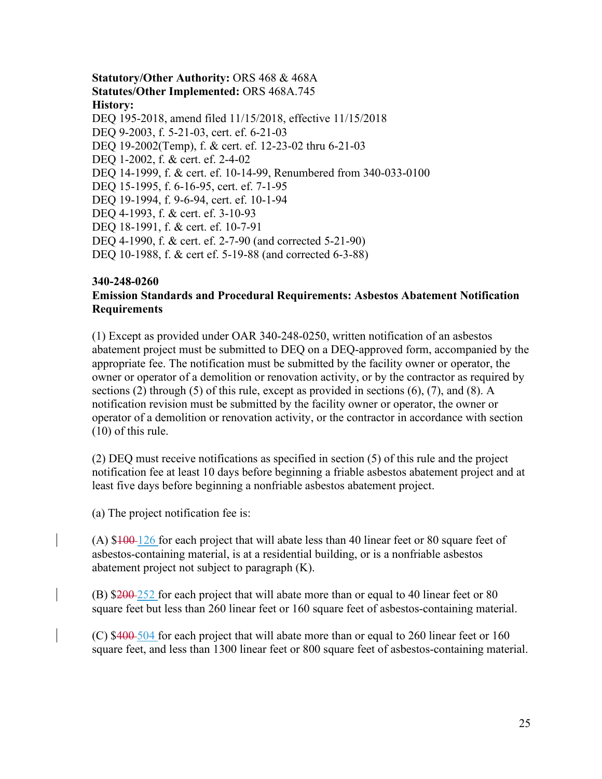#### **Statutory/Other Authority:** ORS 468 & 468A **Statutes/Other Implemented:** ORS 468A.745 **History:**

DEQ 195-2018, amend filed 11/15/2018, effective 11/15/2018 DEQ 9-2003, f. 5-21-03, cert. ef. 6-21-03 DEQ 19-2002(Temp), f. & cert. ef. 12-23-02 thru 6-21-03 DEQ 1-2002, f. & cert. ef. 2-4-02 DEQ 14-1999, f. & cert. ef. 10-14-99, Renumbered from 340-033-0100 DEQ 15-1995, f. 6-16-95, cert. ef. 7-1-95 DEQ 19-1994, f. 9-6-94, cert. ef. 10-1-94 DEQ 4-1993, f. & cert. ef. 3-10-93 DEQ 18-1991, f. & cert. ef. 10-7-91 DEQ 4-1990, f. & cert. ef. 2-7-90 (and corrected 5-21-90) DEQ 10-1988, f. & cert ef. 5-19-88 (and corrected 6-3-88)

#### **340-248-0260 Emission Standards and Procedural Requirements: Asbestos Abatement Notification Requirements**

(1) Except as provided under OAR 340-248-0250, written notification of an asbestos abatement project must be submitted to DEQ on a DEQ-approved form, accompanied by the appropriate fee. The notification must be submitted by the facility owner or operator, the owner or operator of a demolition or renovation activity, or by the contractor as required by sections (2) through (5) of this rule, except as provided in sections (6), (7), and (8). A notification revision must be submitted by the facility owner or operator, the owner or operator of a demolition or renovation activity, or the contractor in accordance with section (10) of this rule.

(2) DEQ must receive notifications as specified in section (5) of this rule and the project notification fee at least 10 days before beginning a friable asbestos abatement project and at least five days before beginning a nonfriable asbestos abatement project.

(a) The project notification fee is:

(A)  $100-126$  for each project that will abate less than 40 linear feet or 80 square feet of asbestos-containing material, is at a residential building, or is a nonfriable asbestos abatement project not subject to paragraph (K).

(B)  $\frac{200-252}{200}$  for each project that will abate more than or equal to 40 linear feet or 80 square feet but less than 260 linear feet or 160 square feet of asbestos-containing material.

(C) \$400 504 for each project that will abate more than or equal to 260 linear feet or 160 square feet, and less than 1300 linear feet or 800 square feet of asbestos-containing material.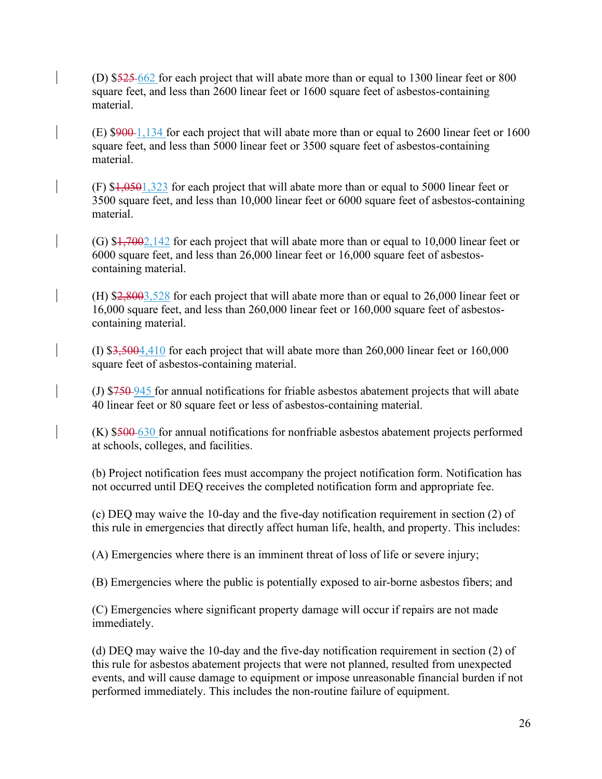(D) \$525 662 for each project that will abate more than or equal to 1300 linear feet or 800 square feet, and less than 2600 linear feet or 1600 square feet of asbestos-containing material.

(E) \$900 1,134 for each project that will abate more than or equal to 2600 linear feet or 1600 square feet, and less than 5000 linear feet or 3500 square feet of asbestos-containing material.

 $(F)$  \$1,0501,323 for each project that will abate more than or equal to 5000 linear feet or 3500 square feet, and less than 10,000 linear feet or 6000 square feet of asbestos-containing material.

(G)  $\frac{17002142}{2}$  for each project that will abate more than or equal to 10,000 linear feet or 6000 square feet, and less than 26,000 linear feet or 16,000 square feet of asbestoscontaining material.

(H) \$2,8003,528 for each project that will abate more than or equal to 26,000 linear feet or 16,000 square feet, and less than 260,000 linear feet or 160,000 square feet of asbestoscontaining material.

(I) \$3,5004,410 for each project that will abate more than 260,000 linear feet or 160,000 square feet of asbestos-containing material.

(J) \$750 945 for annual notifications for friable asbestos abatement projects that will abate 40 linear feet or 80 square feet or less of asbestos-containing material.

(K) \$500 630 for annual notifications for nonfriable asbestos abatement projects performed at schools, colleges, and facilities.

(b) Project notification fees must accompany the project notification form. Notification has not occurred until DEQ receives the completed notification form and appropriate fee.

(c) DEQ may waive the 10-day and the five-day notification requirement in section (2) of this rule in emergencies that directly affect human life, health, and property. This includes:

(A) Emergencies where there is an imminent threat of loss of life or severe injury;

(B) Emergencies where the public is potentially exposed to air-borne asbestos fibers; and

(C) Emergencies where significant property damage will occur if repairs are not made immediately.

(d) DEQ may waive the 10-day and the five-day notification requirement in section (2) of this rule for asbestos abatement projects that were not planned, resulted from unexpected events, and will cause damage to equipment or impose unreasonable financial burden if not performed immediately. This includes the non-routine failure of equipment.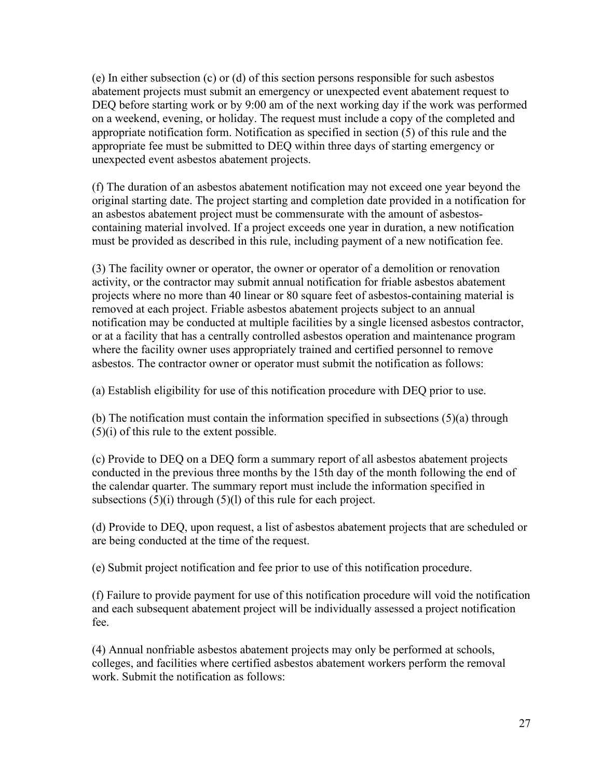(e) In either subsection (c) or (d) of this section persons responsible for such asbestos abatement projects must submit an emergency or unexpected event abatement request to DEQ before starting work or by 9:00 am of the next working day if the work was performed on a weekend, evening, or holiday. The request must include a copy of the completed and appropriate notification form. Notification as specified in section (5) of this rule and the appropriate fee must be submitted to DEQ within three days of starting emergency or unexpected event asbestos abatement projects.

(f) The duration of an asbestos abatement notification may not exceed one year beyond the original starting date. The project starting and completion date provided in a notification for an asbestos abatement project must be commensurate with the amount of asbestoscontaining material involved. If a project exceeds one year in duration, a new notification must be provided as described in this rule, including payment of a new notification fee.

(3) The facility owner or operator, the owner or operator of a demolition or renovation activity, or the contractor may submit annual notification for friable asbestos abatement projects where no more than 40 linear or 80 square feet of asbestos-containing material is removed at each project. Friable asbestos abatement projects subject to an annual notification may be conducted at multiple facilities by a single licensed asbestos contractor, or at a facility that has a centrally controlled asbestos operation and maintenance program where the facility owner uses appropriately trained and certified personnel to remove asbestos. The contractor owner or operator must submit the notification as follows:

(a) Establish eligibility for use of this notification procedure with DEQ prior to use.

(b) The notification must contain the information specified in subsections (5)(a) through (5)(i) of this rule to the extent possible.

(c) Provide to DEQ on a DEQ form a summary report of all asbestos abatement projects conducted in the previous three months by the 15th day of the month following the end of the calendar quarter. The summary report must include the information specified in subsections  $(5)(i)$  through  $(5)(l)$  of this rule for each project.

(d) Provide to DEQ, upon request, a list of asbestos abatement projects that are scheduled or are being conducted at the time of the request.

(e) Submit project notification and fee prior to use of this notification procedure.

(f) Failure to provide payment for use of this notification procedure will void the notification and each subsequent abatement project will be individually assessed a project notification fee.

(4) Annual nonfriable asbestos abatement projects may only be performed at schools, colleges, and facilities where certified asbestos abatement workers perform the removal work. Submit the notification as follows: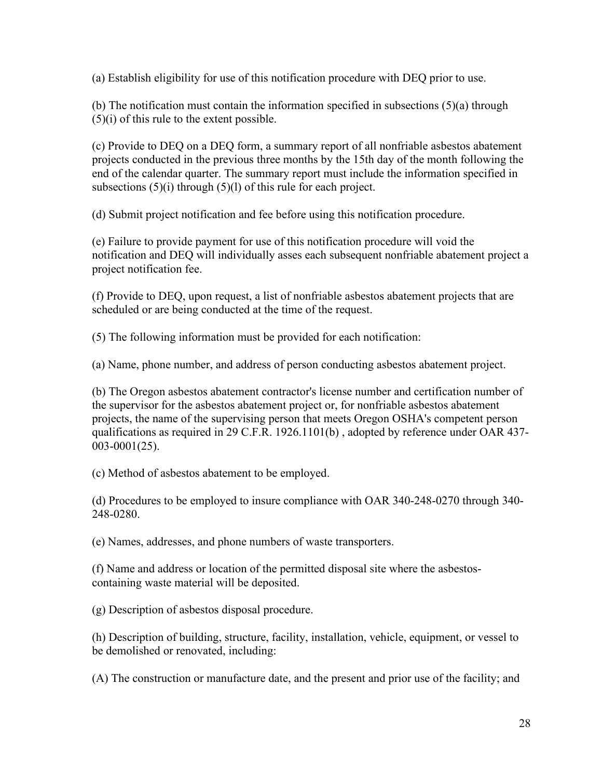(a) Establish eligibility for use of this notification procedure with DEQ prior to use.

(b) The notification must contain the information specified in subsections (5)(a) through (5)(i) of this rule to the extent possible.

(c) Provide to DEQ on a DEQ form, a summary report of all nonfriable asbestos abatement projects conducted in the previous three months by the 15th day of the month following the end of the calendar quarter. The summary report must include the information specified in subsections  $(5)(i)$  through  $(5)(l)$  of this rule for each project.

(d) Submit project notification and fee before using this notification procedure.

(e) Failure to provide payment for use of this notification procedure will void the notification and DEQ will individually asses each subsequent nonfriable abatement project a project notification fee.

(f) Provide to DEQ, upon request, a list of nonfriable asbestos abatement projects that are scheduled or are being conducted at the time of the request.

(5) The following information must be provided for each notification:

(a) Name, phone number, and address of person conducting asbestos abatement project.

(b) The Oregon asbestos abatement contractor's license number and certification number of the supervisor for the asbestos abatement project or, for nonfriable asbestos abatement projects, the name of the supervising person that meets Oregon OSHA's competent person qualifications as required in 29 C.F.R. 1926.1101(b) , adopted by reference under OAR 437- 003-0001(25).

(c) Method of asbestos abatement to be employed.

(d) Procedures to be employed to insure compliance with OAR 340-248-0270 through 340- 248-0280.

(e) Names, addresses, and phone numbers of waste transporters.

(f) Name and address or location of the permitted disposal site where the asbestoscontaining waste material will be deposited.

(g) Description of asbestos disposal procedure.

(h) Description of building, structure, facility, installation, vehicle, equipment, or vessel to be demolished or renovated, including:

(A) The construction or manufacture date, and the present and prior use of the facility; and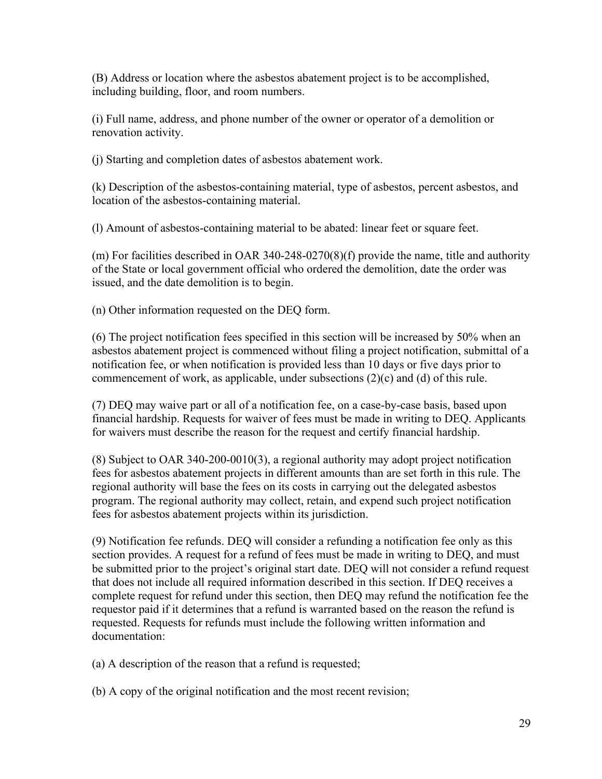(B) Address or location where the asbestos abatement project is to be accomplished, including building, floor, and room numbers.

(i) Full name, address, and phone number of the owner or operator of a demolition or renovation activity.

(j) Starting and completion dates of asbestos abatement work.

(k) Description of the asbestos-containing material, type of asbestos, percent asbestos, and location of the asbestos-containing material.

(l) Amount of asbestos-containing material to be abated: linear feet or square feet.

(m) For facilities described in OAR 340-248-0270(8)(f) provide the name, title and authority of the State or local government official who ordered the demolition, date the order was issued, and the date demolition is to begin.

(n) Other information requested on the DEQ form.

(6) The project notification fees specified in this section will be increased by 50% when an asbestos abatement project is commenced without filing a project notification, submittal of a notification fee, or when notification is provided less than 10 days or five days prior to commencement of work, as applicable, under subsections (2)(c) and (d) of this rule.

(7) DEQ may waive part or all of a notification fee, on a case-by-case basis, based upon financial hardship. Requests for waiver of fees must be made in writing to DEQ. Applicants for waivers must describe the reason for the request and certify financial hardship.

(8) Subject to OAR 340-200-0010(3), a regional authority may adopt project notification fees for asbestos abatement projects in different amounts than are set forth in this rule. The regional authority will base the fees on its costs in carrying out the delegated asbestos program. The regional authority may collect, retain, and expend such project notification fees for asbestos abatement projects within its jurisdiction.

(9) Notification fee refunds. DEQ will consider a refunding a notification fee only as this section provides. A request for a refund of fees must be made in writing to DEQ, and must be submitted prior to the project's original start date. DEQ will not consider a refund request that does not include all required information described in this section. If DEQ receives a complete request for refund under this section, then DEQ may refund the notification fee the requestor paid if it determines that a refund is warranted based on the reason the refund is requested. Requests for refunds must include the following written information and documentation:

(a) A description of the reason that a refund is requested;

(b) A copy of the original notification and the most recent revision;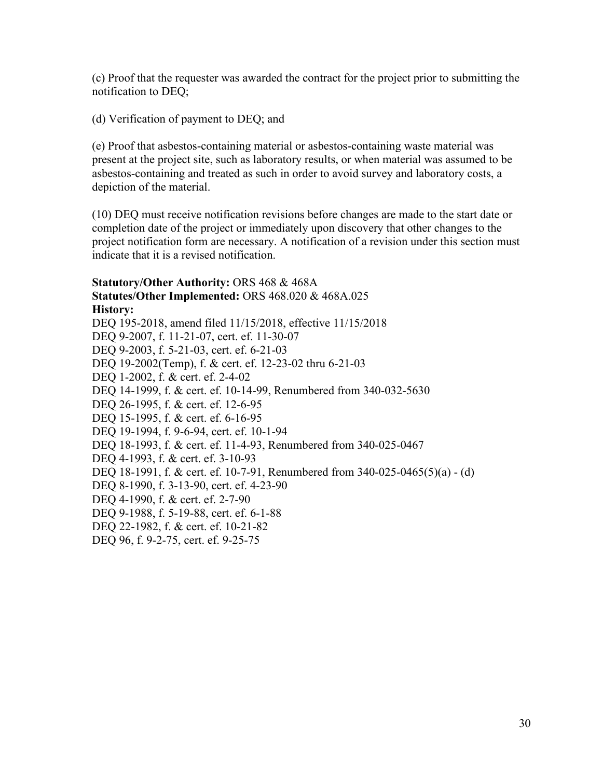(c) Proof that the requester was awarded the contract for the project prior to submitting the notification to DEQ;

(d) Verification of payment to DEQ; and

(e) Proof that asbestos-containing material or asbestos-containing waste material was present at the project site, such as laboratory results, or when material was assumed to be asbestos-containing and treated as such in order to avoid survey and laboratory costs, a depiction of the material.

(10) DEQ must receive notification revisions before changes are made to the start date or completion date of the project or immediately upon discovery that other changes to the project notification form are necessary. A notification of a revision under this section must indicate that it is a revised notification.

**Statutory/Other Authority:** ORS 468 & 468A **Statutes/Other Implemented:** ORS 468.020 & 468A.025 **History:** DEQ 195-2018, amend filed 11/15/2018, effective 11/15/2018 DEQ 9-2007, f. 11-21-07, cert. ef. 11-30-07 DEQ 9-2003, f. 5-21-03, cert. ef. 6-21-03 DEQ 19-2002(Temp), f. & cert. ef. 12-23-02 thru 6-21-03 DEQ 1-2002, f. & cert. ef. 2-4-02 DEQ 14-1999, f. & cert. ef. 10-14-99, Renumbered from 340-032-5630 DEQ 26-1995, f. & cert. ef. 12-6-95 DEQ 15-1995, f. & cert. ef. 6-16-95 DEQ 19-1994, f. 9-6-94, cert. ef. 10-1-94 DEQ 18-1993, f. & cert. ef. 11-4-93, Renumbered from 340-025-0467 DEQ 4-1993, f. & cert. ef. 3-10-93 DEQ 18-1991, f. & cert. ef. 10-7-91, Renumbered from 340-025-0465(5)(a) - (d) DEQ 8-1990, f. 3-13-90, cert. ef. 4-23-90 DEQ 4-1990, f. & cert. ef. 2-7-90 DEQ 9-1988, f. 5-19-88, cert. ef. 6-1-88 DEQ 22-1982, f. & cert. ef. 10-21-82 DEQ 96, f. 9-2-75, cert. ef. 9-25-75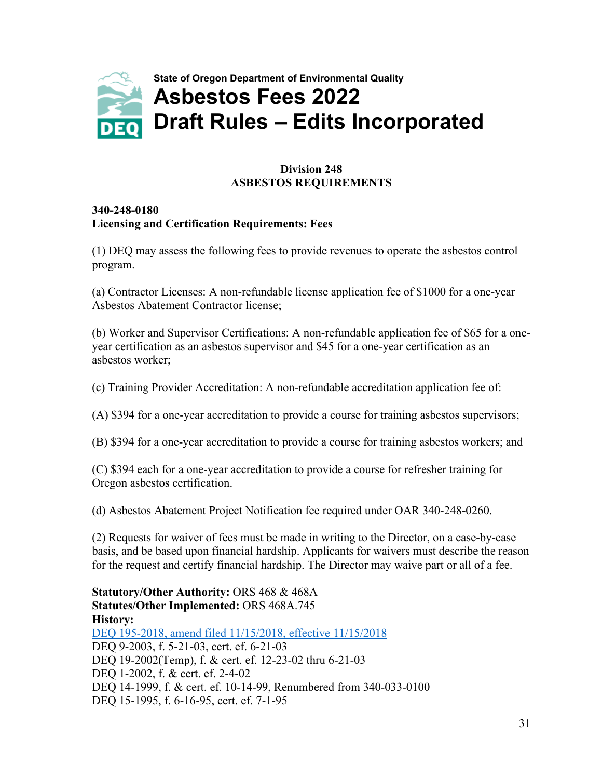<span id="page-32-0"></span>

#### **Division 248 ASBESTOS REQUIREMENTS**

#### **340-248-0180 Licensing and Certification Requirements: Fees**

(1) DEQ may assess the following fees to provide revenues to operate the asbestos control program.

(a) Contractor Licenses: A non-refundable license application fee of \$1000 for a one-year Asbestos Abatement Contractor license;

(b) Worker and Supervisor Certifications: A non-refundable application fee of \$65 for a oneyear certification as an asbestos supervisor and \$45 for a one-year certification as an asbestos worker;

(c) Training Provider Accreditation: A non-refundable accreditation application fee of:

(A) \$394 for a one-year accreditation to provide a course for training asbestos supervisors;

(B) \$394 for a one-year accreditation to provide a course for training asbestos workers; and

(C) \$394 each for a one-year accreditation to provide a course for refresher training for Oregon asbestos certification.

(d) Asbestos Abatement Project Notification fee required under OAR 340-248-0260.

(2) Requests for waiver of fees must be made in writing to the Director, on a case-by-case basis, and be based upon financial hardship. Applicants for waivers must describe the reason for the request and certify financial hardship. The Director may waive part or all of a fee.

**Statutory/Other Authority:** ORS 468 & 468A **Statutes/Other Implemented:** ORS 468A.745 **History:** [DEQ 195-2018, amend filed 11/15/2018, effective 11/15/2018](https://secure.sos.state.or.us/oard/viewReceiptTRIM.action?ptId=6846113) DEQ 9-2003, f. 5-21-03, cert. ef. 6-21-03 DEQ 19-2002(Temp), f. & cert. ef. 12-23-02 thru 6-21-03 DEQ 1-2002, f. & cert. ef. 2-4-02 DEQ 14-1999, f. & cert. ef. 10-14-99, Renumbered from 340-033-0100 DEQ 15-1995, f. 6-16-95, cert. ef. 7-1-95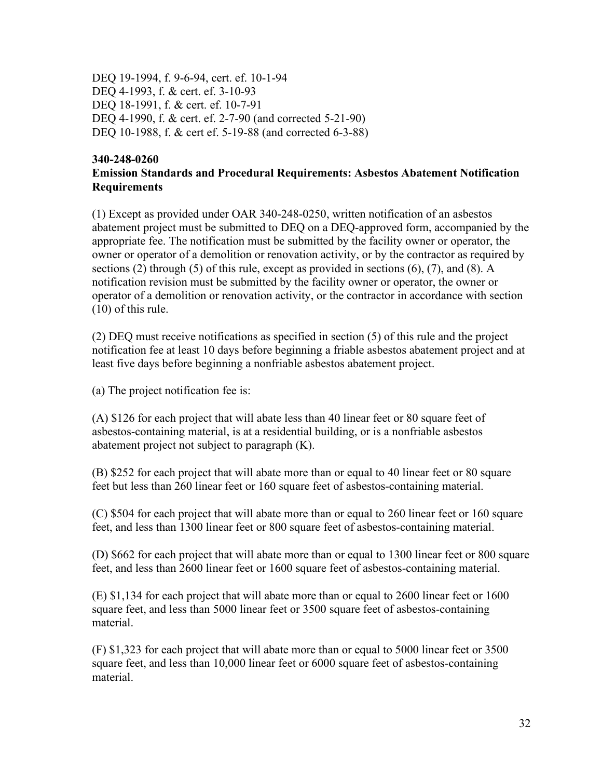DEQ 19-1994, f. 9-6-94, cert. ef. 10-1-94 DEQ 4-1993, f. & cert. ef. 3-10-93 DEQ 18-1991, f. & cert. ef. 10-7-91 DEQ 4-1990, f. & cert. ef. 2-7-90 (and corrected 5-21-90) DEQ 10-1988, f. & cert ef. 5-19-88 (and corrected 6-3-88)

#### **340-248-0260 Emission Standards and Procedural Requirements: Asbestos Abatement Notification Requirements**

(1) Except as provided under OAR 340-248-0250, written notification of an asbestos abatement project must be submitted to DEQ on a DEQ-approved form, accompanied by the appropriate fee. The notification must be submitted by the facility owner or operator, the owner or operator of a demolition or renovation activity, or by the contractor as required by sections (2) through (5) of this rule, except as provided in sections (6), (7), and (8). A notification revision must be submitted by the facility owner or operator, the owner or operator of a demolition or renovation activity, or the contractor in accordance with section (10) of this rule.

(2) DEQ must receive notifications as specified in section (5) of this rule and the project notification fee at least 10 days before beginning a friable asbestos abatement project and at least five days before beginning a nonfriable asbestos abatement project.

(a) The project notification fee is:

(A) \$126 for each project that will abate less than 40 linear feet or 80 square feet of asbestos-containing material, is at a residential building, or is a nonfriable asbestos abatement project not subject to paragraph (K).

(B) \$252 for each project that will abate more than or equal to 40 linear feet or 80 square feet but less than 260 linear feet or 160 square feet of asbestos-containing material.

(C) \$504 for each project that will abate more than or equal to 260 linear feet or 160 square feet, and less than 1300 linear feet or 800 square feet of asbestos-containing material.

(D) \$662 for each project that will abate more than or equal to 1300 linear feet or 800 square feet, and less than 2600 linear feet or 1600 square feet of asbestos-containing material.

(E) \$1,134 for each project that will abate more than or equal to 2600 linear feet or 1600 square feet, and less than 5000 linear feet or 3500 square feet of asbestos-containing material.

(F) \$1,323 for each project that will abate more than or equal to 5000 linear feet or 3500 square feet, and less than 10,000 linear feet or 6000 square feet of asbestos-containing material.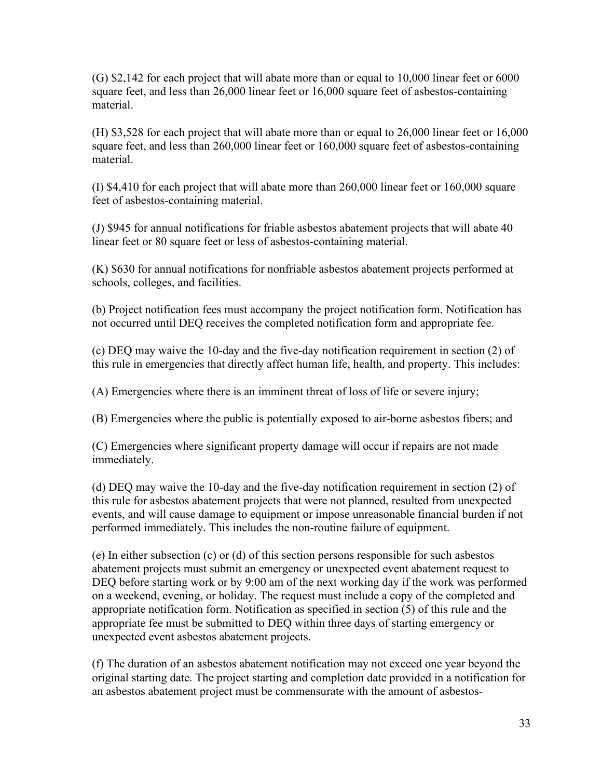(G) \$2,142 for each project that will abate more than or equal to 10,000 linear feet or 6000 square feet, and less than 26,000 linear feet or 16,000 square feet of asbestos-containing material.

(H) \$3,528 for each project that will abate more than or equal to 26,000 linear feet or 16,000 square feet, and less than 260,000 linear feet or 160,000 square feet of asbestos-containing material.

(I) \$4,410 for each project that will abate more than 260,000 linear feet or 160,000 square feet of asbestos-containing material.

(J) \$945 for annual notifications for friable asbestos abatement projects that will abate 40 linear feet or 80 square feet or less of asbestos-containing material.

(K) \$630 for annual notifications for nonfriable asbestos abatement projects performed at schools, colleges, and facilities.

(b) Project notification fees must accompany the project notification form. Notification has not occurred until DEQ receives the completed notification form and appropriate fee.

(c) DEQ may waive the 10-day and the five-day notification requirement in section (2) of this rule in emergencies that directly affect human life, health, and property. This includes:

(A) Emergencies where there is an imminent threat of loss of life or severe injury;

(B) Emergencies where the public is potentially exposed to air-borne asbestos fibers; and

(C) Emergencies where significant property damage will occur if repairs are not made immediately.

(d) DEQ may waive the 10-day and the five-day notification requirement in section (2) of this rule for asbestos abatement projects that were not planned, resulted from unexpected events, and will cause damage to equipment or impose unreasonable financial burden if not performed immediately. This includes the non-routine failure of equipment.

(e) In either subsection (c) or (d) of this section persons responsible for such asbestos abatement projects must submit an emergency or unexpected event abatement request to DEQ before starting work or by 9:00 am of the next working day if the work was performed on a weekend, evening, or holiday. The request must include a copy of the completed and appropriate notification form. Notification as specified in section (5) of this rule and the appropriate fee must be submitted to DEQ within three days of starting emergency or unexpected event asbestos abatement projects.

(f) The duration of an asbestos abatement notification may not exceed one year beyond the original starting date. The project starting and completion date provided in a notification for an asbestos abatement project must be commensurate with the amount of asbestos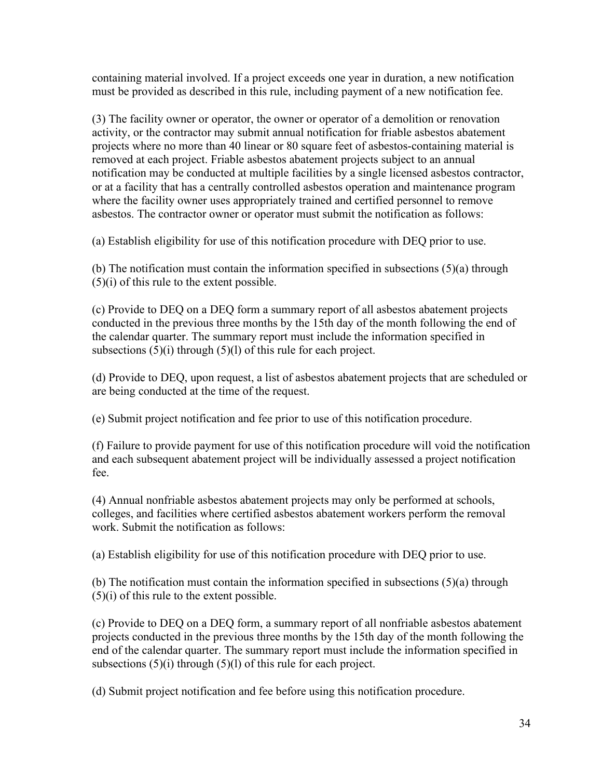containing material involved. If a project exceeds one year in duration, a new notification must be provided as described in this rule, including payment of a new notification fee.

(3) The facility owner or operator, the owner or operator of a demolition or renovation activity, or the contractor may submit annual notification for friable asbestos abatement projects where no more than 40 linear or 80 square feet of asbestos-containing material is removed at each project. Friable asbestos abatement projects subject to an annual notification may be conducted at multiple facilities by a single licensed asbestos contractor, or at a facility that has a centrally controlled asbestos operation and maintenance program where the facility owner uses appropriately trained and certified personnel to remove asbestos. The contractor owner or operator must submit the notification as follows:

(a) Establish eligibility for use of this notification procedure with DEQ prior to use.

(b) The notification must contain the information specified in subsections (5)(a) through (5)(i) of this rule to the extent possible.

(c) Provide to DEQ on a DEQ form a summary report of all asbestos abatement projects conducted in the previous three months by the 15th day of the month following the end of the calendar quarter. The summary report must include the information specified in subsections  $(5)(i)$  through  $(5)(l)$  of this rule for each project.

(d) Provide to DEQ, upon request, a list of asbestos abatement projects that are scheduled or are being conducted at the time of the request.

(e) Submit project notification and fee prior to use of this notification procedure.

(f) Failure to provide payment for use of this notification procedure will void the notification and each subsequent abatement project will be individually assessed a project notification fee.

(4) Annual nonfriable asbestos abatement projects may only be performed at schools, colleges, and facilities where certified asbestos abatement workers perform the removal work. Submit the notification as follows:

(a) Establish eligibility for use of this notification procedure with DEQ prior to use.

(b) The notification must contain the information specified in subsections (5)(a) through (5)(i) of this rule to the extent possible.

(c) Provide to DEQ on a DEQ form, a summary report of all nonfriable asbestos abatement projects conducted in the previous three months by the 15th day of the month following the end of the calendar quarter. The summary report must include the information specified in subsections  $(5)(i)$  through  $(5)(l)$  of this rule for each project.

(d) Submit project notification and fee before using this notification procedure.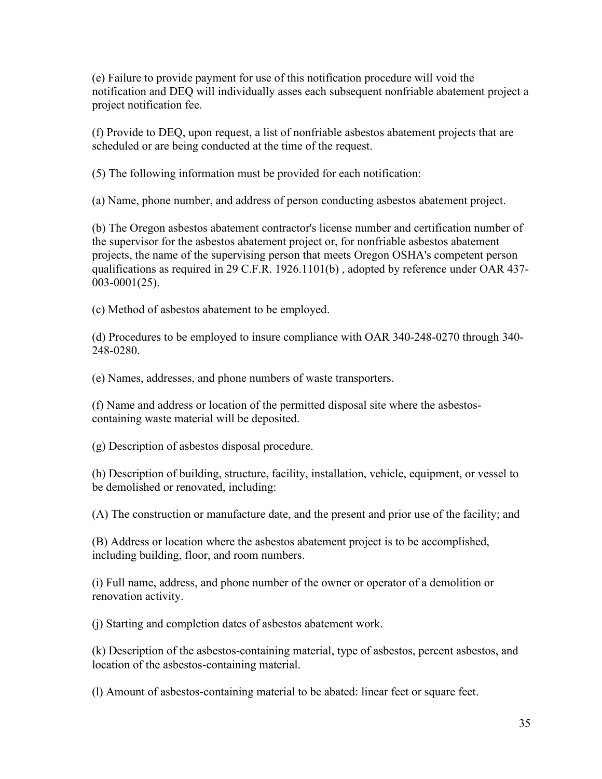(e) Failure to provide payment for use of this notification procedure will void the notification and DEQ will individually asses each subsequent nonfriable abatement project a project notification fee.

(f) Provide to DEQ, upon request, a list of nonfriable asbestos abatement projects that are scheduled or are being conducted at the time of the request.

(5) The following information must be provided for each notification:

(a) Name, phone number, and address of person conducting asbestos abatement project.

(b) The Oregon asbestos abatement contractor's license number and certification number of the supervisor for the asbestos abatement project or, for nonfriable asbestos abatement projects, the name of the supervising person that meets Oregon OSHA's competent person qualifications as required in 29 C.F.R. 1926.1101(b) , adopted by reference under OAR 437- 003-0001(25).

(c) Method of asbestos abatement to be employed.

(d) Procedures to be employed to insure compliance with OAR 340-248-0270 through 340- 248-0280.

(e) Names, addresses, and phone numbers of waste transporters.

(f) Name and address or location of the permitted disposal site where the asbestoscontaining waste material will be deposited.

(g) Description of asbestos disposal procedure.

(h) Description of building, structure, facility, installation, vehicle, equipment, or vessel to be demolished or renovated, including:

(A) The construction or manufacture date, and the present and prior use of the facility; and

(B) Address or location where the asbestos abatement project is to be accomplished, including building, floor, and room numbers.

(i) Full name, address, and phone number of the owner or operator of a demolition or renovation activity.

(j) Starting and completion dates of asbestos abatement work.

(k) Description of the asbestos-containing material, type of asbestos, percent asbestos, and location of the asbestos-containing material.

(l) Amount of asbestos-containing material to be abated: linear feet or square feet.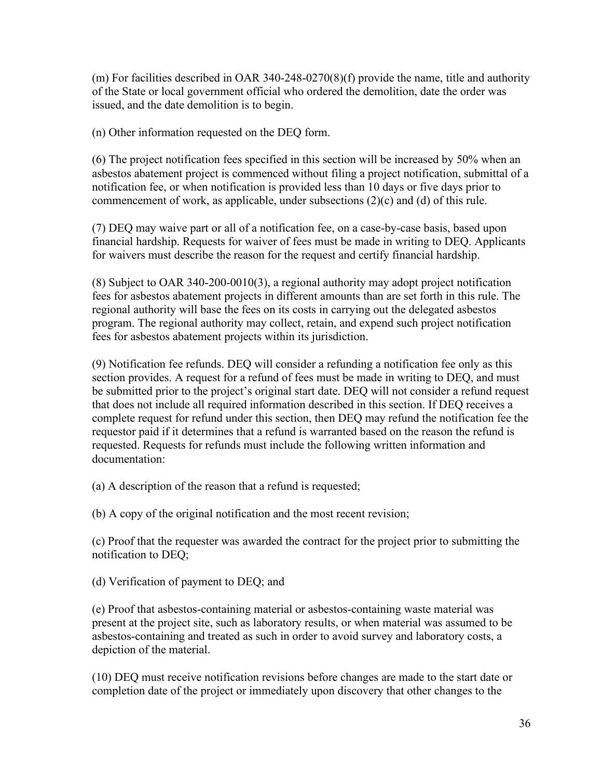(m) For facilities described in OAR 340-248-0270(8)(f) provide the name, title and authority of the State or local government official who ordered the demolition, date the order was issued, and the date demolition is to begin.

(n) Other information requested on the DEQ form.

(6) The project notification fees specified in this section will be increased by 50% when an asbestos abatement project is commenced without filing a project notification, submittal of a notification fee, or when notification is provided less than 10 days or five days prior to commencement of work, as applicable, under subsections (2)(c) and (d) of this rule.

(7) DEQ may waive part or all of a notification fee, on a case-by-case basis, based upon financial hardship. Requests for waiver of fees must be made in writing to DEQ. Applicants for waivers must describe the reason for the request and certify financial hardship.

(8) Subject to OAR 340-200-0010(3), a regional authority may adopt project notification fees for asbestos abatement projects in different amounts than are set forth in this rule. The regional authority will base the fees on its costs in carrying out the delegated asbestos program. The regional authority may collect, retain, and expend such project notification fees for asbestos abatement projects within its jurisdiction.

(9) Notification fee refunds. DEQ will consider a refunding a notification fee only as this section provides. A request for a refund of fees must be made in writing to DEQ, and must be submitted prior to the project's original start date. DEQ will not consider a refund request that does not include all required information described in this section. If DEQ receives a complete request for refund under this section, then DEQ may refund the notification fee the requestor paid if it determines that a refund is warranted based on the reason the refund is requested. Requests for refunds must include the following written information and documentation:

(a) A description of the reason that a refund is requested;

(b) A copy of the original notification and the most recent revision;

(c) Proof that the requester was awarded the contract for the project prior to submitting the notification to DEQ;

(d) Verification of payment to DEQ; and

(e) Proof that asbestos-containing material or asbestos-containing waste material was present at the project site, such as laboratory results, or when material was assumed to be asbestos-containing and treated as such in order to avoid survey and laboratory costs, a depiction of the material.

(10) DEQ must receive notification revisions before changes are made to the start date or completion date of the project or immediately upon discovery that other changes to the